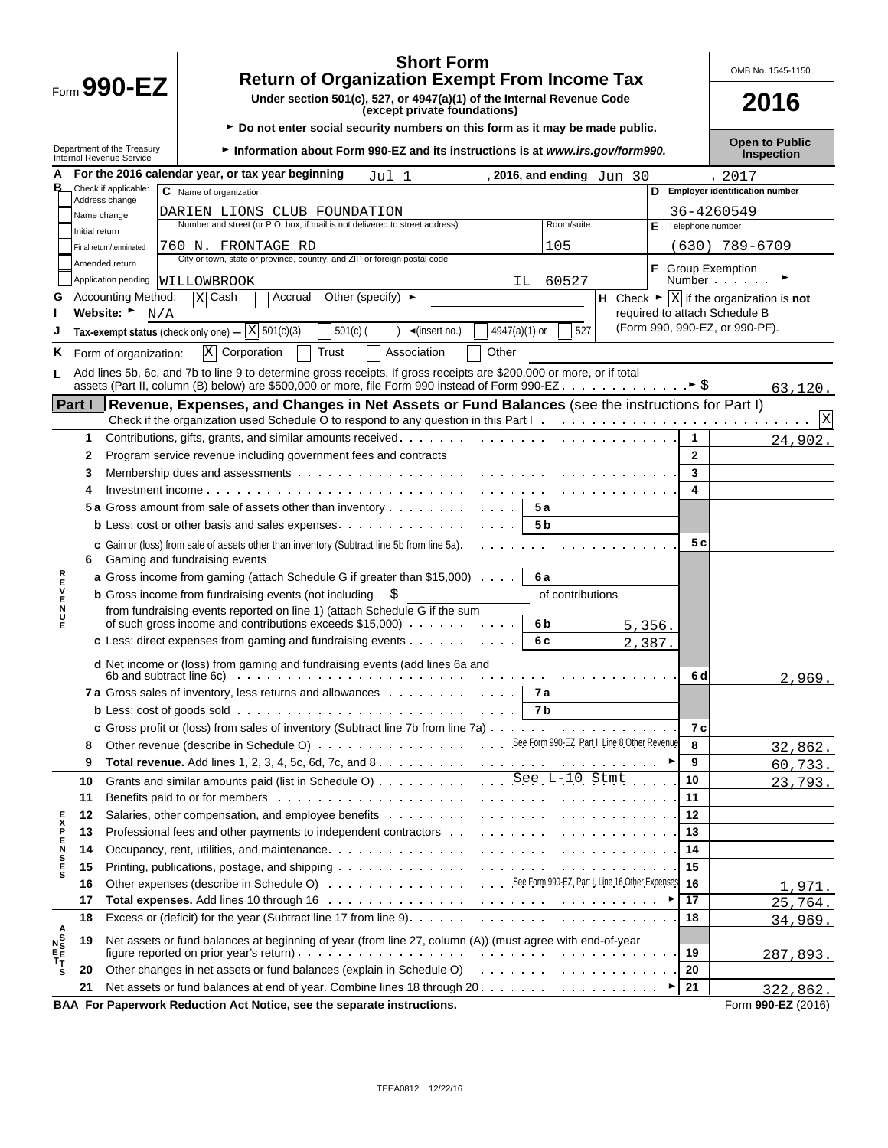|                              |                | <b>Short Form</b><br><b>Return of Organization Exempt From Income Tax</b>                                                                                                                                                      |        |                              | OMB No. 1545-1150                                                  |
|------------------------------|----------------|--------------------------------------------------------------------------------------------------------------------------------------------------------------------------------------------------------------------------------|--------|------------------------------|--------------------------------------------------------------------|
|                              |                | Form $990$ -EZ<br>Under section 501(c), 527, or 4947(a)(1) of the Internal Revenue Code<br>(except private foundations)                                                                                                        |        |                              | 2016                                                               |
|                              |                | ► Do not enter social security numbers on this form as it may be made public.<br>Department of the Treasury<br>Internal Revenue Service<br>Information about Form 990-EZ and its instructions is at www.irs.gov/form990.       |        |                              | <b>Open to Public</b><br>Inspection                                |
| А                            |                | For the 2016 calendar year, or tax year beginning<br>Jul 1<br>, 2016, and ending Jun 30                                                                                                                                        |        |                              | , 2017                                                             |
|                              |                | Check if applicable:<br>C Name of organization                                                                                                                                                                                 |        |                              | D Employer identification number                                   |
|                              |                | Address change<br>DARIEN LIONS CLUB FOUNDATION                                                                                                                                                                                 |        |                              | 36-4260549                                                         |
|                              |                | Name change<br>Number and street (or P.O. box, if mail is not delivered to street address)<br>Room/suite                                                                                                                       |        | E Telephone number           |                                                                    |
|                              | Initial return | 105<br>760 N. FRONTAGE RD                                                                                                                                                                                                      |        |                              |                                                                    |
|                              |                | Final return/terminated<br>City or town, state or province, country, and ZIP or foreign postal code<br>Amended return                                                                                                          |        |                              | (630) 789-6709                                                     |
|                              |                | Application pending<br>60527<br>WILLOWBROOK<br>IL.                                                                                                                                                                             |        | F.<br><b>Group Exemption</b> | Number                                                             |
| G                            |                | Other (specify) $\blacktriangleright$<br><b>Accounting Method:</b><br>$\overline{X}$ Cash<br>Accrual                                                                                                                           |        |                              | H Check $\blacktriangleright \boxed{X}$ if the organization is not |
|                              |                | Website:<br>N/A                                                                                                                                                                                                                |        |                              | required to attach Schedule B                                      |
|                              |                | Tax-exempt status (check only one) $ \boxed{X}$ 501(c)(3)<br>527<br>$501(c)$ (<br>$4947(a)(1)$ or<br>$\triangleleft$ (insert no.)                                                                                              |        |                              | (Form 990, 990-EZ, or 990-PF).                                     |
| ĸ,                           |                | $\mathbf X$<br>Corporation<br>Trust<br>Other<br>Association<br>Form of organization:                                                                                                                                           |        |                              |                                                                    |
|                              |                | Add lines 5b, 6c, and 7b to line 9 to determine gross receipts. If gross receipts are \$200,000 or more, or if total                                                                                                           |        |                              |                                                                    |
|                              |                |                                                                                                                                                                                                                                |        |                              | 63,120.                                                            |
|                              | Part I         | Revenue, Expenses, and Changes in Net Assets or Fund Balances (see the instructions for Part I)                                                                                                                                |        |                              |                                                                    |
|                              |                |                                                                                                                                                                                                                                |        |                              | X                                                                  |
|                              | 1              |                                                                                                                                                                                                                                |        | $\mathbf{1}$                 | 24,902.                                                            |
|                              | 2              |                                                                                                                                                                                                                                |        | $\mathbf{2}$                 |                                                                    |
|                              | 3              |                                                                                                                                                                                                                                |        | 3                            |                                                                    |
|                              | 4              |                                                                                                                                                                                                                                |        | 4                            |                                                                    |
|                              |                | 5 a Gross amount from sale of assets other than inventory<br>5 a                                                                                                                                                               |        |                              |                                                                    |
|                              |                | 5 <sub>b</sub>                                                                                                                                                                                                                 |        |                              |                                                                    |
|                              | 6              | <b>c</b> Gain or (loss) from sale of assets other than inventory (Subtract line 5b from line 5a). $\ldots$ , $\ldots$ , $\ldots$ , $\ldots$<br>Gaming and fundraising events                                                   |        | 5 c                          |                                                                    |
|                              |                | <b>a</b> Gross income from gaming (attach Schedule G if greater than \$15,000)<br>6 a                                                                                                                                          |        |                              |                                                                    |
| <b>NHVEND</b>                |                | <b>b</b> Gross income from fundraising events (not including<br>of contributions                                                                                                                                               |        |                              |                                                                    |
|                              |                | from fundraising events reported on line 1) (attach Schedule G if the sum                                                                                                                                                      |        |                              |                                                                    |
|                              |                | of such gross income and contributions exceeds $$15,000$<br>6b                                                                                                                                                                 | 5,356. |                              |                                                                    |
|                              |                | c Less: direct expenses from gaming and fundraising events<br>6 c                                                                                                                                                              | 2,387. |                              |                                                                    |
|                              |                | d Net income or (loss) from gaming and fundraising events (add lines 6a and<br>6b and subtract line 6c) $\cdots$ $\cdots$ $\cdots$ $\cdots$ $\cdots$ $\cdots$ $\cdots$ $\cdots$                                                |        | 6 d                          | 2,969.                                                             |
|                              |                | 7a <br>7a Gross sales of inventory, less returns and allowances                                                                                                                                                                |        |                              |                                                                    |
|                              |                | 7 b                                                                                                                                                                                                                            |        |                              |                                                                    |
|                              |                |                                                                                                                                                                                                                                |        | 7 с                          |                                                                    |
|                              | 8              |                                                                                                                                                                                                                                |        | 8                            | 32,862.                                                            |
|                              | 9              |                                                                                                                                                                                                                                |        | 9                            | <u>60,733.</u>                                                     |
|                              | 10             | Grants and similar amounts paid (list in Schedule O) See L-10 Stmt                                                                                                                                                             |        | 10                           | 23,793.                                                            |
|                              | 11             | Benefits paid to or for members enterprise on the set of the set of the set of the set of the set of the set of the set of the set of the set of the set of the set of the set of the set of the set of the set of the set of  |        | 11                           |                                                                    |
|                              | 12             |                                                                                                                                                                                                                                |        | 12                           |                                                                    |
| <b>DES2525</b>               | 13             | Professional fees and other payments to independent contractors with a subset of the state of the state of the                                                                                                                 |        | 13                           |                                                                    |
|                              | 14             |                                                                                                                                                                                                                                |        | 14                           |                                                                    |
|                              | 15             |                                                                                                                                                                                                                                |        | 15                           |                                                                    |
|                              | 16             |                                                                                                                                                                                                                                |        | 16                           | 1,971.                                                             |
|                              | 17             |                                                                                                                                                                                                                                |        | 17                           | 25,764.                                                            |
|                              | 18             |                                                                                                                                                                                                                                |        | 18                           | 34,969.                                                            |
|                              | 19             | Net assets or fund balances at beginning of year (from line 27, column (A)) (must agree with end-of-year                                                                                                                       |        |                              |                                                                    |
| A<br><b>S</b><br>T<br>T<br>S |                | figure reported on prior year's return). The contract of the contract of the contract of the contract of the contract of the contract of the contract of the contract of the contract of the contract of the contract of the c |        | 19                           | 287,893.                                                           |
|                              | 20             |                                                                                                                                                                                                                                |        | 20                           |                                                                    |
|                              | 21             | BAA For Paperwork Reduction Act Notice, see the separate instructions.                                                                                                                                                         |        | 21                           | 322,862.<br>Form 990-EZ (2016)                                     |
|                              |                |                                                                                                                                                                                                                                |        |                              |                                                                    |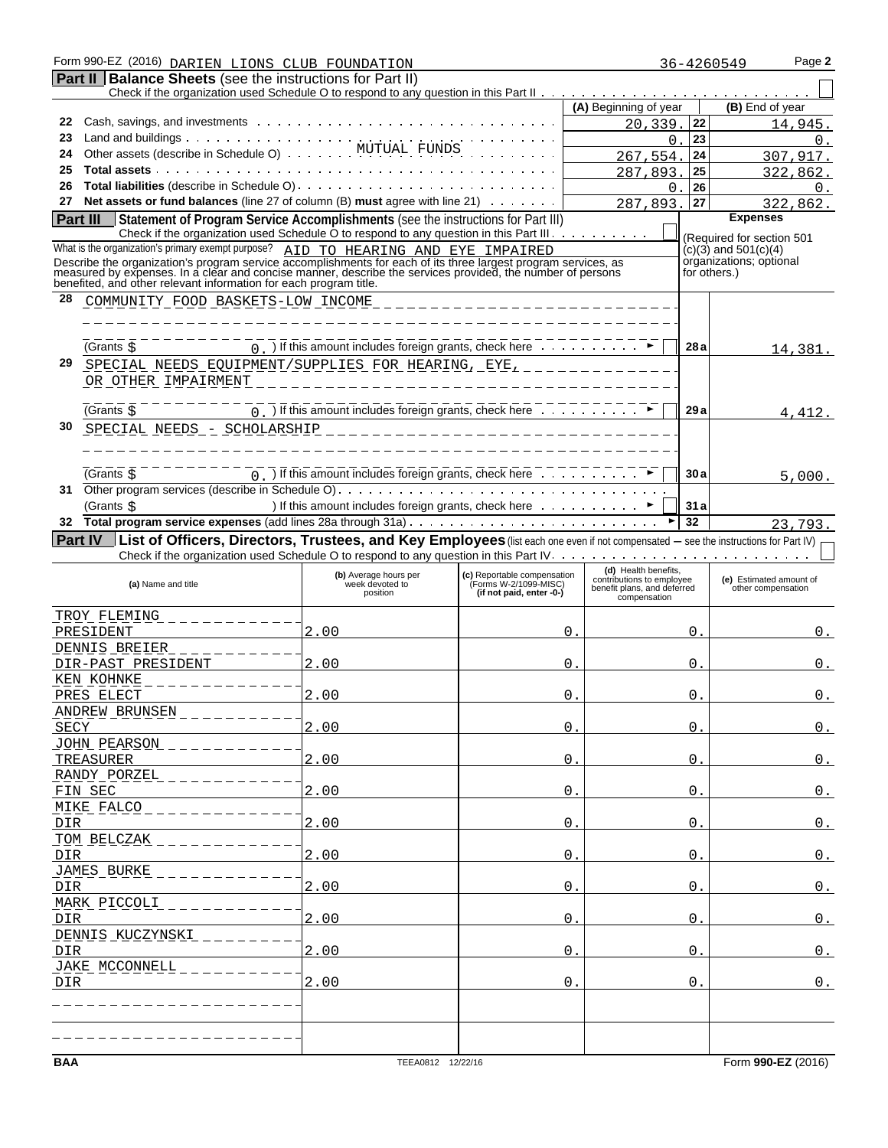| Form 990-EZ (2016) DARIEN LIONS CLUB FOUNDATION<br>36-4260549 |                                                                                                                                                                                                                                      |                                                                                                     |                                                      |            | Page 2                                            |          |     |                           |            |
|---------------------------------------------------------------|--------------------------------------------------------------------------------------------------------------------------------------------------------------------------------------------------------------------------------------|-----------------------------------------------------------------------------------------------------|------------------------------------------------------|------------|---------------------------------------------------|----------|-----|---------------------------|------------|
|                                                               | <b>Part II   Balance Sheets</b> (see the instructions for Part II)                                                                                                                                                                   |                                                                                                     |                                                      |            |                                                   |          |     |                           |            |
|                                                               |                                                                                                                                                                                                                                      |                                                                                                     |                                                      |            |                                                   |          |     |                           |            |
|                                                               |                                                                                                                                                                                                                                      |                                                                                                     |                                                      |            | (A) Beginning of year                             |          |     | (B) End of year           |            |
| 22                                                            |                                                                                                                                                                                                                                      |                                                                                                     |                                                      |            | 20.339.                                           |          | 22  |                           | 14,945.    |
| 23                                                            |                                                                                                                                                                                                                                      |                                                                                                     |                                                      |            |                                                   | 0        | 23  |                           | 0.         |
| 24                                                            | Other assets (describe in Schedule O) MUTUAL FUNDS                                                                                                                                                                                   |                                                                                                     |                                                      |            | 267,554                                           |          | 24  |                           | 307,917.   |
| 25                                                            |                                                                                                                                                                                                                                      |                                                                                                     |                                                      |            | 287,893.                                          |          | 25  |                           | 322,862.   |
| 26                                                            |                                                                                                                                                                                                                                      |                                                                                                     |                                                      |            |                                                   | $\Omega$ | 26  |                           | $\Omega$ . |
| 27                                                            | Net assets or fund balances (line 27 of column (B) must agree with line 21)                                                                                                                                                          |                                                                                                     |                                                      |            | 287,893                                           |          | 27  |                           | 322,862.   |
|                                                               | Statement of Program Service Accomplishments (see the instructions for Part III)<br>Part III                                                                                                                                         |                                                                                                     |                                                      |            |                                                   |          |     | <b>Expenses</b>           |            |
|                                                               | Check if the organization used Schedule O to respond to any question in this Part III.                                                                                                                                               |                                                                                                     |                                                      |            |                                                   |          |     | (Required for section 501 |            |
|                                                               | What is the organization's primary exempt purpose? AID TO HEARING AND EYE IMPAIRED                                                                                                                                                   |                                                                                                     |                                                      |            |                                                   |          |     | $(c)(3)$ and 501(c)(4)    |            |
|                                                               | Describe the organization's program service accomplishments for each of its three largest program services, as<br>measured by expenses. In a clear and concise manner, describe the services provided, the number of persons<br>bene |                                                                                                     |                                                      |            |                                                   |          |     | organizations; optional   |            |
|                                                               |                                                                                                                                                                                                                                      |                                                                                                     |                                                      |            |                                                   |          |     | for others.)              |            |
| 28                                                            | COMMUNITY FOOD BASKETS-LOW INCOME                                                                                                                                                                                                    |                                                                                                     |                                                      |            |                                                   |          |     |                           |            |
|                                                               |                                                                                                                                                                                                                                      |                                                                                                     |                                                      |            |                                                   |          |     |                           |            |
|                                                               |                                                                                                                                                                                                                                      |                                                                                                     |                                                      |            |                                                   |          |     |                           |            |
|                                                               | (Grants S                                                                                                                                                                                                                            | $\overline{0}$ ) If this amount includes foreign grants, check here $\overline{1}$                  |                                                      |            |                                                   |          | 28a |                           |            |
| 29                                                            |                                                                                                                                                                                                                                      |                                                                                                     |                                                      |            |                                                   |          |     |                           | 14,381.    |
|                                                               | SPECIAL NEEDS EQUIPMENT/SUPPLIES FOR HEARING, EYE, _______                                                                                                                                                                           |                                                                                                     |                                                      |            |                                                   |          |     |                           |            |
|                                                               | OR OTHER IMPAIRMENT                                                                                                                                                                                                                  |                                                                                                     |                                                      |            |                                                   |          |     |                           |            |
|                                                               |                                                                                                                                                                                                                                      | $\overline{0}$ . $\overline{0}$ If this amount includes foreign grants, check here $\overline{0}$ . |                                                      |            |                                                   |          | 29a |                           |            |
|                                                               | (Grants \$                                                                                                                                                                                                                           |                                                                                                     |                                                      |            |                                                   |          |     |                           | 4,412.     |
| 30                                                            | SPECIAL NEEDS - SCHOLARSHIP                                                                                                                                                                                                          |                                                                                                     | _________________________                            |            |                                                   |          |     |                           |            |
|                                                               |                                                                                                                                                                                                                                      |                                                                                                     |                                                      |            |                                                   |          |     |                           |            |
|                                                               |                                                                                                                                                                                                                                      |                                                                                                     |                                                      |            |                                                   |          |     |                           |            |
|                                                               | (Grants s                                                                                                                                                                                                                            | $\overline{0}$ . If this amount includes foreign grants, check here $\overline{1}$                  |                                                      |            |                                                   |          | 30a |                           | 5,000.     |
| 31                                                            |                                                                                                                                                                                                                                      |                                                                                                     |                                                      |            |                                                   |          |     |                           |            |
|                                                               | (Grants \$                                                                                                                                                                                                                           | ) If this amount includes foreign grants, check here ▶                                              |                                                      |            |                                                   |          | 31a |                           |            |
| 32                                                            |                                                                                                                                                                                                                                      |                                                                                                     |                                                      |            |                                                   |          | 32  |                           | 23.793.    |
|                                                               | List of Officers, Directors, Trustees, and Key Employees (list each one even if not compensated - see the instructions for Part IV)<br><b>Part IV</b>                                                                                |                                                                                                     |                                                      |            |                                                   |          |     |                           |            |
|                                                               | Check if the organization used Schedule O to respond to any question in this Part IV. $\ldots$ , $\ldots$ , $\ldots$ , $\ldots$ , $\ldots$ , $\ldots$ , $\ldots$                                                                     |                                                                                                     |                                                      |            |                                                   |          |     |                           |            |
|                                                               |                                                                                                                                                                                                                                      | (b) Average hours per                                                                               | (c) Reportable compensation<br>(Forms W-2/1099-MISC) |            | (d) Health benefits,<br>contributions to employee |          |     | (e) Estimated amount of   |            |
|                                                               | (a) Name and title                                                                                                                                                                                                                   | week devoted to<br>position                                                                         | (if not paid, enter -0-)                             |            | benefit plans, and deferred<br>compensation       |          |     | other compensation        |            |
|                                                               |                                                                                                                                                                                                                                      |                                                                                                     |                                                      |            |                                                   |          |     |                           |            |
|                                                               | TROY FLEMING                                                                                                                                                                                                                         |                                                                                                     |                                                      |            |                                                   |          |     |                           |            |
|                                                               | PRESIDENT                                                                                                                                                                                                                            | 2.00                                                                                                |                                                      | $\Omega$ . |                                                   |          | 0.  |                           | 0.         |
|                                                               | DENNIS BREIER                                                                                                                                                                                                                        |                                                                                                     |                                                      |            |                                                   |          |     |                           |            |
|                                                               | DIR-PAST PRESIDENT                                                                                                                                                                                                                   | 2.00                                                                                                |                                                      | 0.         |                                                   |          | Ο.  |                           | $0$ .      |
|                                                               | KEN KOHNKE<br>- - - - - - - - -                                                                                                                                                                                                      |                                                                                                     |                                                      |            |                                                   |          |     |                           |            |
|                                                               | PRES ELECT                                                                                                                                                                                                                           | 2.00                                                                                                |                                                      | 0.         |                                                   |          | 0.  |                           | 0.         |
|                                                               | ANDREW BRUNSEN                                                                                                                                                                                                                       |                                                                                                     |                                                      |            |                                                   |          |     |                           |            |
| CDMZ                                                          |                                                                                                                                                                                                                                      | 0 <sub>0</sub>                                                                                      |                                                      | $\bigcap$  |                                                   |          | ⌒   |                           | $\cap$     |

| (a) Name and title              | (b) Average hours per<br>week devoted to<br>position | (c) Reportable compensation<br>(Forms W-2/1099-MISC)<br>(if not paid, enter -0-) | (d) Health benefits,<br>contributions to employee<br>benefit plans, and deferred<br>compensation | (e) Estimated amount of<br>other compensation |
|---------------------------------|------------------------------------------------------|----------------------------------------------------------------------------------|--------------------------------------------------------------------------------------------------|-----------------------------------------------|
| TROY FLEMING                    |                                                      |                                                                                  |                                                                                                  |                                               |
| PRESIDENT                       | 2.00                                                 | $\Omega$                                                                         | $\mathbf{0}$ .                                                                                   | $0$ .                                         |
| DENNIS BREIER                   |                                                      |                                                                                  |                                                                                                  |                                               |
| DIR-PAST PRESIDENT              | 2.00                                                 | 0                                                                                | $\mathsf{O}$ .                                                                                   | 0.                                            |
| KEN KOHNKE                      |                                                      |                                                                                  |                                                                                                  |                                               |
| PRES ELECT                      | 2.00                                                 | $\Omega$                                                                         | $\mathbf 0$ .                                                                                    | $0$ .                                         |
| ANDREW BRUNSEN                  |                                                      |                                                                                  |                                                                                                  |                                               |
| SECY                            | 2.00                                                 | 0                                                                                | $\mathbf 0$                                                                                      | 0.                                            |
| JOHN PEARSON                    |                                                      |                                                                                  |                                                                                                  |                                               |
| TREASURER                       | 2.00                                                 | $\Omega$                                                                         | $\Omega$ .                                                                                       | $0$ .                                         |
| RANDY PORZEL                    |                                                      |                                                                                  |                                                                                                  |                                               |
| FIN SEC                         | 2.00                                                 | 0                                                                                | $\mathsf{O}$ .                                                                                   | 0.                                            |
| MIKE FALCO                      |                                                      |                                                                                  |                                                                                                  |                                               |
| DIR                             | 2.00                                                 | 0                                                                                | $\mathbf 0$ .                                                                                    | 0.                                            |
| TOM BELCZAK                     |                                                      |                                                                                  |                                                                                                  |                                               |
| DIR                             | 2.00                                                 | $\Omega$                                                                         | $\Omega$ .                                                                                       | $0$ .                                         |
| JAMES BURKE                     |                                                      |                                                                                  |                                                                                                  |                                               |
| DIR                             | 2.00                                                 | $\Omega$                                                                         | $\Omega$ .                                                                                       | 0.                                            |
| MARK PICCOLI                    |                                                      |                                                                                  |                                                                                                  |                                               |
| DIR                             | 2.00                                                 | 0                                                                                | $\mathsf{O}$ .                                                                                   | $0$ .                                         |
| DENNIS KUCZYNSKI                |                                                      |                                                                                  |                                                                                                  |                                               |
| DIR                             | 2.00                                                 | 0                                                                                | $\overline{0}$ .                                                                                 | $0$ .                                         |
| JAKE MCCONNELL                  |                                                      |                                                                                  |                                                                                                  |                                               |
| DIR                             | 2.00                                                 | $\Omega$                                                                         | $\Omega$ .                                                                                       | $0$ .                                         |
|                                 |                                                      |                                                                                  |                                                                                                  |                                               |
|                                 |                                                      |                                                                                  |                                                                                                  |                                               |
|                                 |                                                      |                                                                                  |                                                                                                  |                                               |
|                                 |                                                      |                                                                                  |                                                                                                  | Form 990-EZ (2016)                            |
| <b>BAA</b><br>TEEA0812 12/22/16 |                                                      |                                                                                  |                                                                                                  |                                               |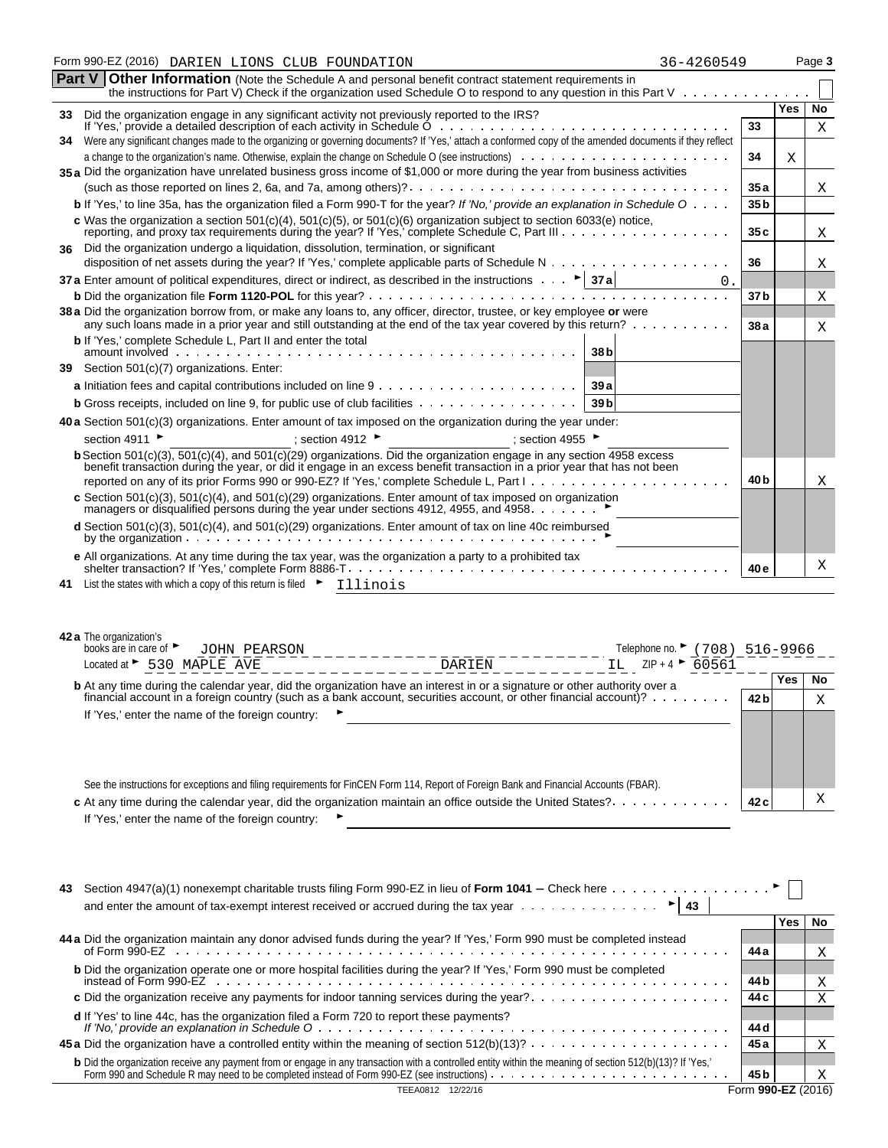|    | Form 990-EZ (2016) DARIEN LIONS CLUB FOUNDATION<br>36-4260549                                                                                                                                                                        |                 |     | Page 3 |
|----|--------------------------------------------------------------------------------------------------------------------------------------------------------------------------------------------------------------------------------------|-----------------|-----|--------|
|    | <b>Part V Other Information</b> (Note the Schedule A and personal benefit contract statement requirements in<br>the instructions for Part V) Check if the organization used Schedule O to respond to any question in this Part V     |                 |     |        |
|    | 33 Did the organization engage in any significant activity not previously reported to the IRS?                                                                                                                                       |                 | Yes | No     |
|    |                                                                                                                                                                                                                                      | 33              |     | Χ      |
| 34 | Were any significant changes made to the organizing or governing documents? If 'Yes,' attach a conformed copy of the amended documents if they reflect                                                                               |                 |     |        |
|    |                                                                                                                                                                                                                                      | 34              | X   |        |
|    | 35 a Did the organization have unrelated business gross income of \$1,000 or more during the year from business activities                                                                                                           |                 |     |        |
|    |                                                                                                                                                                                                                                      | 35a             |     | X      |
|    | <b>b</b> If 'Yes,' to line 35a, has the organization filed a Form 990-T for the year? If 'No,' provide an explanation in Schedule $0 \ldots$                                                                                         | 35 <sub>b</sub> |     |        |
|    | c Was the organization a section $501(c)(4)$ , $501(c)(5)$ , or $501(c)(6)$ organization subject to section 6033(e) notice,<br>reporting, and proxy tax requirements during the year? If 'Yes,' complete Schedule C, Part III        | 35 c            |     | Χ      |
| 36 | Did the organization undergo a liquidation, dissolution, termination, or significant                                                                                                                                                 |                 |     |        |
|    |                                                                                                                                                                                                                                      | 36              |     | Χ      |
|    | 37 a Enter amount of political expenditures, direct or indirect, as described in the instructions $\cdots$ > 37 a<br>0.                                                                                                              |                 |     |        |
|    |                                                                                                                                                                                                                                      | 37 <sub>b</sub> |     | Χ      |
|    | 38 a Did the organization borrow from, or make any loans to, any officer, director, trustee, or key employee or were<br>any such loans made in a prior year and still outstanding at the end of the tax year covered by this return? | 38 a            |     | Х      |
|    | <b>b</b> If 'Yes,' complete Schedule L, Part II and enter the total<br>38 <sub>b</sub>                                                                                                                                               |                 |     |        |
| 39 | Section 501(c)(7) organizations. Enter:                                                                                                                                                                                              |                 |     |        |
|    | 39a                                                                                                                                                                                                                                  |                 |     |        |
|    | <b>b</b> Gross receipts, included on line 9, for public use of club facilities<br>39 <sub>b</sub>                                                                                                                                    |                 |     |        |
|    | <b>40 a</b> Section $501(c)(3)$ organizations. Enter amount of tax imposed on the organization during the year under:                                                                                                                |                 |     |        |
|    | section 4911 ▶<br>; section 4912 ▶<br>; section 4955 $\blacktriangleright$                                                                                                                                                           |                 |     |        |
|    | <b>b</b> Section 501(c)(3), $\frac{501(c)(4)}{20}$ , and $\frac{501(c)(29)}{20}$ organizations. Did the organization engage in any section $\frac{4958}{4958}$ excess                                                                |                 |     |        |
|    | benefit transaction during the year, or did it engage in an excess benefit transaction in a prior year that has not been                                                                                                             | 40 b            |     | Χ      |
|    | c Section 501(c)(3), 501(c)(4), and 501(c)(29) organizations. Enter amount of tax imposed on organization                                                                                                                            |                 |     |        |
|    | managers or disqualified persons during the year under sections 4912, 4955, and 4958.                                                                                                                                                |                 |     |        |
|    | <b>d</b> Section 501(c)(3), 501(c)(4), and 501(c)(29) organizations. Enter amount of tax on line 40c reimbursed                                                                                                                      |                 |     |        |
|    | e All organizations. At any time during the tax year, was the organization a party to a prohibited tax<br>shelter transaction? If 'Yes,' complete Form 8886-T.                                                                       | 40 e            |     | Χ      |
|    | 41 List the states with which a copy of this return is filed $\blacktriangleright$ Illinois                                                                                                                                          |                 |     |        |
|    | 42 a The organization's<br>books are in care of<br>Telephone no. ► (708) 516-9966<br><b>JOHN PEARSON</b><br>IL $ZIP + 4 \rightarrow 60561$<br>Located at > 530 MAPLE AVE<br>DARIEN                                                   |                 |     |        |
|    | <b>b</b> At any time during the calendar year, did the organization have an interest in or a signature or other authority over a                                                                                                     |                 | Yes | No     |
|    | financial account in a foreign country (such as a bank account, securities account, or other financial account)?                                                                                                                     | 42 b            |     | X      |
|    | If 'Yes,' enter the name of the foreign country:                                                                                                                                                                                     |                 |     |        |
|    |                                                                                                                                                                                                                                      |                 |     |        |
|    |                                                                                                                                                                                                                                      |                 |     |        |

| See the instructions for exceptions and filing requirements for FinCEN Form 114, Report of Foreign Bank and Financial Accounts (FBAR). |      |
|----------------------------------------------------------------------------------------------------------------------------------------|------|
| <b>c</b> At any time during the calendar year, did the organization maintain an office outside the United States?                      | 42 c |
| If 'Yes,' enter the name of the foreign country: $\blacktriangleright$                                                                 |      |

| 43                                                                                                                                                                                                                                |                    |      |    |
|-----------------------------------------------------------------------------------------------------------------------------------------------------------------------------------------------------------------------------------|--------------------|------|----|
| and enter the amount of tax-exempt interest received or accrued during the tax year $\dots \dots \dots \dots$                                                                                                                     |                    |      |    |
|                                                                                                                                                                                                                                   |                    | Yes. | No |
| 44 a Did the organization maintain any donor advised funds during the year? If 'Yes,' Form 990 must be completed instead                                                                                                          |                    |      |    |
|                                                                                                                                                                                                                                   | 44 a               |      |    |
| <b>b</b> Did the organization operate one or more hospital facilities during the year? If 'Yes,' Form 990 must be completed                                                                                                       |                    |      |    |
|                                                                                                                                                                                                                                   | 44 b               |      |    |
|                                                                                                                                                                                                                                   | 44 c               |      |    |
| d If 'Yes' to line 44c, has the organization filed a Form 720 to report these payments?                                                                                                                                           |                    |      |    |
|                                                                                                                                                                                                                                   | 44 d               |      |    |
| <b>45 a</b> Did the organization have a controlled entity within the meaning of section $512(b)(13)? \ldots \ldots \ldots \ldots \ldots \ldots$                                                                                   | 45 a               |      |    |
|                                                                                                                                                                                                                                   |                    |      |    |
| b Did the organization receive any payment from or engage in any transaction with a controlled entity within the meaning of section 512(b)(13)? If 'Yes,'<br>Form 990 and Schedule R may need to be completed instead of Form 990 | 45 b               |      | Х  |
|                                                                                                                                                                                                                                   | Form 990-EZ (2016) |      |    |

X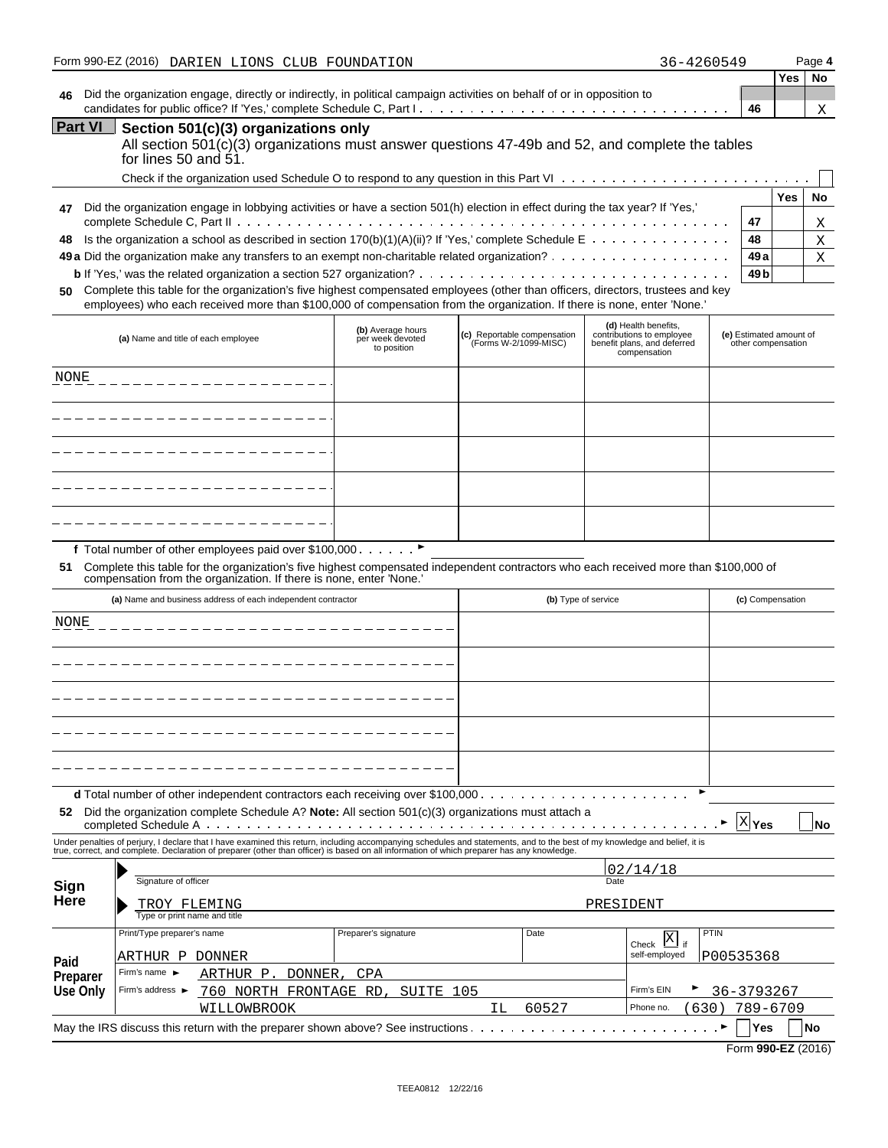|                                                                                                                                                                                    | Form 990-EZ (2016) DARIEN LIONS CLUB FOUNDATION                                                                        | 36-4260549 |    |     | Page 4 |
|------------------------------------------------------------------------------------------------------------------------------------------------------------------------------------|------------------------------------------------------------------------------------------------------------------------|------------|----|-----|--------|
|                                                                                                                                                                                    |                                                                                                                        |            |    | Yes | No     |
| 46                                                                                                                                                                                 | Did the organization engage, directly or indirectly, in political campaign activities on behalf of or in opposition to |            |    |     |        |
|                                                                                                                                                                                    |                                                                                                                        |            | 46 |     | Χ      |
| <b>Part VI</b><br>Section 501(c)(3) organizations only<br>All section 501(c)(3) organizations must answer questions 47-49b and 52, and complete the tables<br>for lines 50 and 51. |                                                                                                                        |            |    |     |        |
|                                                                                                                                                                                    |                                                                                                                        |            |    |     |        |
|                                                                                                                                                                                    |                                                                                                                        |            |    | Yes | Nο     |

|    |                                                                                                                               |        | Yes | No. |
|----|-------------------------------------------------------------------------------------------------------------------------------|--------|-----|-----|
| 47 | Did the organization engage in lobbying activities or have a section 501(h) election in effect during the tax year? If 'Yes,' |        |     |     |
|    |                                                                                                                               | -47    |     | X   |
|    | 48 Is the organization a school as described in section 170(b)(1)(A)(ii)? If 'Yes,' complete Schedule E                       | 48     |     |     |
|    |                                                                                                                               | 49 a l |     |     |
|    |                                                                                                                               | 49 bl  |     |     |
|    |                                                                                                                               |        |     |     |

**50** Complete this table for the organization's five highest compensated employees (other than officers, directors, trustees and key employees) who each received more than \$100,000 of compensation from the organization. If there is none, enter 'None.'

| (a) Name and title of each employee | (b) Average hours<br>per week devoted<br>to position | (c) Reportable compensation<br>(Forms W-2/1099-MISC) | (d) Health benefits,<br>contributions to employee<br>benefit plans, and deferred<br>compensation | (e) Estimated amount of<br>other compensation |
|-------------------------------------|------------------------------------------------------|------------------------------------------------------|--------------------------------------------------------------------------------------------------|-----------------------------------------------|
| NONE                                |                                                      |                                                      |                                                                                                  |                                               |
|                                     |                                                      |                                                      |                                                                                                  |                                               |
|                                     |                                                      |                                                      |                                                                                                  |                                               |
|                                     |                                                      |                                                      |                                                                                                  |                                               |
|                                     |                                                      |                                                      |                                                                                                  |                                               |

f Total number of other employees paid over \$100,000  $\ldots \ldots$ 

**51** Complete this table for the organization's five highest compensated independent contractors who each received more than \$100,000 of compensation from the organization. If there is none, enter 'None.'

| (a) Name and business address of each independent contractor |                                                                                                                                                                                                                                                                                                                          |                      |             | (b) Type of service                      | (c) Compensation                     |
|--------------------------------------------------------------|--------------------------------------------------------------------------------------------------------------------------------------------------------------------------------------------------------------------------------------------------------------------------------------------------------------------------|----------------------|-------------|------------------------------------------|--------------------------------------|
| <b>NONE</b>                                                  |                                                                                                                                                                                                                                                                                                                          |                      |             |                                          |                                      |
|                                                              |                                                                                                                                                                                                                                                                                                                          |                      |             |                                          |                                      |
|                                                              |                                                                                                                                                                                                                                                                                                                          |                      |             |                                          |                                      |
|                                                              |                                                                                                                                                                                                                                                                                                                          |                      |             |                                          |                                      |
|                                                              |                                                                                                                                                                                                                                                                                                                          |                      |             |                                          |                                      |
| 52                                                           | Did the organization complete Schedule A? Note: All section $501(c)(3)$ organizations must attach a                                                                                                                                                                                                                      |                      |             |                                          | $X$ Yes<br><b>No</b>                 |
|                                                              | Under penalties of perjury, I declare that I have examined this return, including accompanying schedules and statements, and to the best of my knowledge and belief, it is<br>true, correct, and complete. Declaration of preparer (other than officer) is based on all information of which preparer has any knowledge. |                      |             |                                          |                                      |
| Sign<br>Here                                                 | Signature of officer                                                                                                                                                                                                                                                                                                     |                      |             | 02/14/18<br>Date                         |                                      |
|                                                              | TROY FLEMING<br>Type or print name and title                                                                                                                                                                                                                                                                             |                      |             | PRESIDENT                                |                                      |
| Paid                                                         | Print/Type preparer's name<br>ARTHUR P<br>DONNER                                                                                                                                                                                                                                                                         | Preparer's signature | Date        | Check $\overline{X}$ if<br>self-employed | PTIN<br>P00535368                    |
| Preparer<br>Use Only                                         | Firm's name $\blacktriangleright$<br>DONNER,<br>ARTHUR P.<br>Firm's address ►<br>760 NORTH FRONTAGE RD,                                                                                                                                                                                                                  | CPA<br>SUITE 105     |             | Firm's EIN                               | 36-3793267                           |
|                                                              | WILLOWBROOK                                                                                                                                                                                                                                                                                                              |                      | 60527<br>ΙL | Phone no.                                | 789-6709<br>630)<br><b>No</b><br>Yes |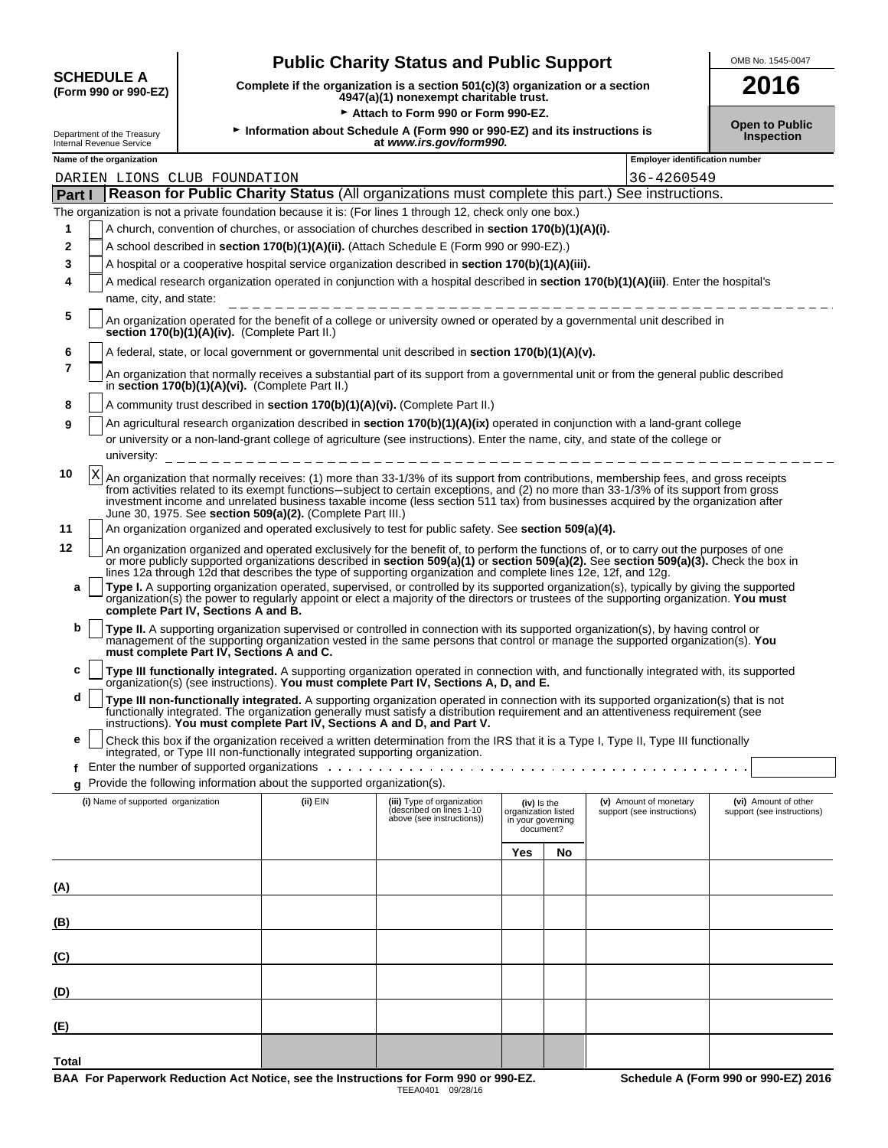| <b>SCHEDULE A</b>    |  |
|----------------------|--|
| (Form 990 or 990-EZ) |  |

# **Public Charity Status and Public Support**

**(Form 990 or 990-EZ) Complete if the organization is a section 501(c)(3) organization or a section 4947(a)(1) nonexempt charitable trust. 2016**

Attach to Form 990 or Form 990-EZ.

|  | OMB No. 1545-0047 |
|--|-------------------|
|  |                   |

|  | <b>Open to Public</b>   |
|--|-------------------------|
|  | <u>La manna dina sa</u> |

| Department of the Treasury<br>Internal Revenue Service |                                    |                                               |                                                                              | Information about Schedule A (Form 990 or 990-EZ) and its instructions is<br>at www.irs.gov/form990.                                                                                                                                                                                                                                                                                                               |                                                                      |    |                                                      | <b>Open to Public</b><br>Inspection                |
|--------------------------------------------------------|------------------------------------|-----------------------------------------------|------------------------------------------------------------------------------|--------------------------------------------------------------------------------------------------------------------------------------------------------------------------------------------------------------------------------------------------------------------------------------------------------------------------------------------------------------------------------------------------------------------|----------------------------------------------------------------------|----|------------------------------------------------------|----------------------------------------------------|
| Name of the organization                               |                                    |                                               |                                                                              |                                                                                                                                                                                                                                                                                                                                                                                                                    |                                                                      |    | <b>Employer identification number</b>                |                                                    |
|                                                        |                                    | DARIEN LIONS CLUB FOUNDATION                  |                                                                              |                                                                                                                                                                                                                                                                                                                                                                                                                    |                                                                      |    | 36-4260549                                           |                                                    |
| Part I                                                 |                                    |                                               |                                                                              | Reason for Public Charity Status (All organizations must complete this part.) See instructions.                                                                                                                                                                                                                                                                                                                    |                                                                      |    |                                                      |                                                    |
|                                                        |                                    |                                               |                                                                              | The organization is not a private foundation because it is: (For lines 1 through 12, check only one box.)                                                                                                                                                                                                                                                                                                          |                                                                      |    |                                                      |                                                    |
| 1                                                      |                                    |                                               |                                                                              | A church, convention of churches, or association of churches described in section 170(b)(1)(A)(i).                                                                                                                                                                                                                                                                                                                 |                                                                      |    |                                                      |                                                    |
| 2                                                      |                                    |                                               |                                                                              | A school described in section 170(b)(1)(A)(ii). (Attach Schedule E (Form 990 or 990-EZ).)                                                                                                                                                                                                                                                                                                                          |                                                                      |    |                                                      |                                                    |
| 3                                                      |                                    |                                               |                                                                              | A hospital or a cooperative hospital service organization described in section 170(b)(1)(A)(iii).                                                                                                                                                                                                                                                                                                                  |                                                                      |    |                                                      |                                                    |
| 4                                                      |                                    |                                               |                                                                              | A medical research organization operated in conjunction with a hospital described in section 170(b)(1)(A)(iii). Enter the hospital's                                                                                                                                                                                                                                                                               |                                                                      |    |                                                      |                                                    |
|                                                        | name, city, and state:             |                                               |                                                                              |                                                                                                                                                                                                                                                                                                                                                                                                                    |                                                                      |    |                                                      |                                                    |
| 5                                                      |                                    | section 170(b)(1)(A)(iv). (Complete Part II.) |                                                                              | An organization operated for the benefit of a college or university owned or operated by a governmental unit described in                                                                                                                                                                                                                                                                                          |                                                                      |    |                                                      |                                                    |
| 6                                                      |                                    |                                               |                                                                              | A federal, state, or local government or governmental unit described in section 170(b)(1)(A)(v).                                                                                                                                                                                                                                                                                                                   |                                                                      |    |                                                      |                                                    |
| 7                                                      |                                    |                                               | in section 170(b)(1)(A)(vi). (Complete Part II.)                             | An organization that normally receives a substantial part of its support from a governmental unit or from the general public described                                                                                                                                                                                                                                                                             |                                                                      |    |                                                      |                                                    |
| 8                                                      |                                    |                                               |                                                                              | A community trust described in section 170(b)(1)(A)(vi). (Complete Part II.)                                                                                                                                                                                                                                                                                                                                       |                                                                      |    |                                                      |                                                    |
| 9                                                      |                                    |                                               |                                                                              | An agricultural research organization described in section 170(b)(1)(A)(ix) operated in conjunction with a land-grant college                                                                                                                                                                                                                                                                                      |                                                                      |    |                                                      |                                                    |
|                                                        | university:                        |                                               | ______________________________                                               | or university or a non-land-grant college of agriculture (see instructions). Enter the name, city, and state of the college or                                                                                                                                                                                                                                                                                     |                                                                      |    |                                                      |                                                    |
| 10<br>X                                                |                                    |                                               | June 30, 1975. See section 509(a)(2). (Complete Part III.)                   | An organization that normally receives: (1) more than 33-1/3% of its support from contributions, membership fees, and gross receipts<br>from activities related to its exempt functions-subject to certain exceptions, and (2) no more than 33-1/3% of its support from gross<br>investment income and unrelated business taxable income (less section 511 tax) from businesses acquired by the organization after |                                                                      |    |                                                      |                                                    |
| 11                                                     |                                    |                                               |                                                                              | An organization organized and operated exclusively to test for public safety. See section 509(a)(4).                                                                                                                                                                                                                                                                                                               |                                                                      |    |                                                      |                                                    |
| 12                                                     |                                    |                                               |                                                                              | An organization organized and operated exclusively for the benefit of, to perform the functions of, or to carry out the purposes of one<br>or more publicly supported organizations described in section 509(a)(1) or section 509(a)(2). See section 509(a)(3). Check the box in                                                                                                                                   |                                                                      |    |                                                      |                                                    |
| а                                                      |                                    | complete Part IV, Sections A and B.           |                                                                              | lines 12a through 12d that describes the type of supporting organization and complete lines 12e, 12f, and 12g.<br>Type I. A supporting organization operated, supervised, or controlled by its supported organization(s), typically by giving the supported<br>organization(s) the power to regularly appoint or elect a majority of the directors or trustees of the supporting organization. You must            |                                                                      |    |                                                      |                                                    |
| b                                                      |                                    | must complete Part IV, Sections A and C.      |                                                                              | Type II. A supporting organization supervised or controlled in connection with its supported organization(s), by having control or<br>management of the supporting organization vested in the same persons that control or manage the supported organization(s). You                                                                                                                                               |                                                                      |    |                                                      |                                                    |
| c                                                      |                                    |                                               |                                                                              | Type III functionally integrated. A supporting organization operated in connection with, and functionally integrated with, its supported organization(s) (see instructions). You must complete Part IV, Sections A, D, and E.                                                                                                                                                                                      |                                                                      |    |                                                      |                                                    |
| d                                                      |                                    |                                               |                                                                              | Type III non-functionally integrated. A supporting organization operated in connection with its supported organization(s) that is not<br>functionally integrated. The organization generally must satisfy a distribution requirement and an attentiveness requirement (see<br>instructions). You must complete Part IV, Sections A and D, and Part V.                                                              |                                                                      |    |                                                      |                                                    |
| е                                                      |                                    |                                               |                                                                              | Check this box if the organization received a written determination from the IRS that it is a Type I, Type II, Type III functionally                                                                                                                                                                                                                                                                               |                                                                      |    |                                                      |                                                    |
|                                                        |                                    |                                               | integrated, or Type III non-functionally integrated supporting organization. |                                                                                                                                                                                                                                                                                                                                                                                                                    |                                                                      |    |                                                      |                                                    |
| f                                                      |                                    |                                               |                                                                              | Enter the number of supported organizations enter the state of the state of supported organizations of the state of the state of supported organizations of the state of the state of the state of the state of the state of t                                                                                                                                                                                     |                                                                      |    |                                                      |                                                    |
|                                                        |                                    |                                               | q Provide the following information about the supported organization(s).     |                                                                                                                                                                                                                                                                                                                                                                                                                    |                                                                      |    |                                                      |                                                    |
|                                                        | (i) Name of supported organization |                                               | (ii) EIN                                                                     | (iii) Type of organization<br>described on lines 1-10<br>above (see instructions))                                                                                                                                                                                                                                                                                                                                 | (iv) Is the<br>organization listed<br>in your governing<br>document? |    | (v) Amount of monetary<br>support (see instructions) | (vi) Amount of other<br>support (see instructions) |
|                                                        |                                    |                                               |                                                                              |                                                                                                                                                                                                                                                                                                                                                                                                                    | Yes                                                                  | No |                                                      |                                                    |
| (A)                                                    |                                    |                                               |                                                                              |                                                                                                                                                                                                                                                                                                                                                                                                                    |                                                                      |    |                                                      |                                                    |
| (B)                                                    |                                    |                                               |                                                                              |                                                                                                                                                                                                                                                                                                                                                                                                                    |                                                                      |    |                                                      |                                                    |
| (C)                                                    |                                    |                                               |                                                                              |                                                                                                                                                                                                                                                                                                                                                                                                                    |                                                                      |    |                                                      |                                                    |
| (D)                                                    |                                    |                                               |                                                                              |                                                                                                                                                                                                                                                                                                                                                                                                                    |                                                                      |    |                                                      |                                                    |
| (E)                                                    |                                    |                                               |                                                                              |                                                                                                                                                                                                                                                                                                                                                                                                                    |                                                                      |    |                                                      |                                                    |
| Total                                                  |                                    |                                               |                                                                              |                                                                                                                                                                                                                                                                                                                                                                                                                    |                                                                      |    |                                                      |                                                    |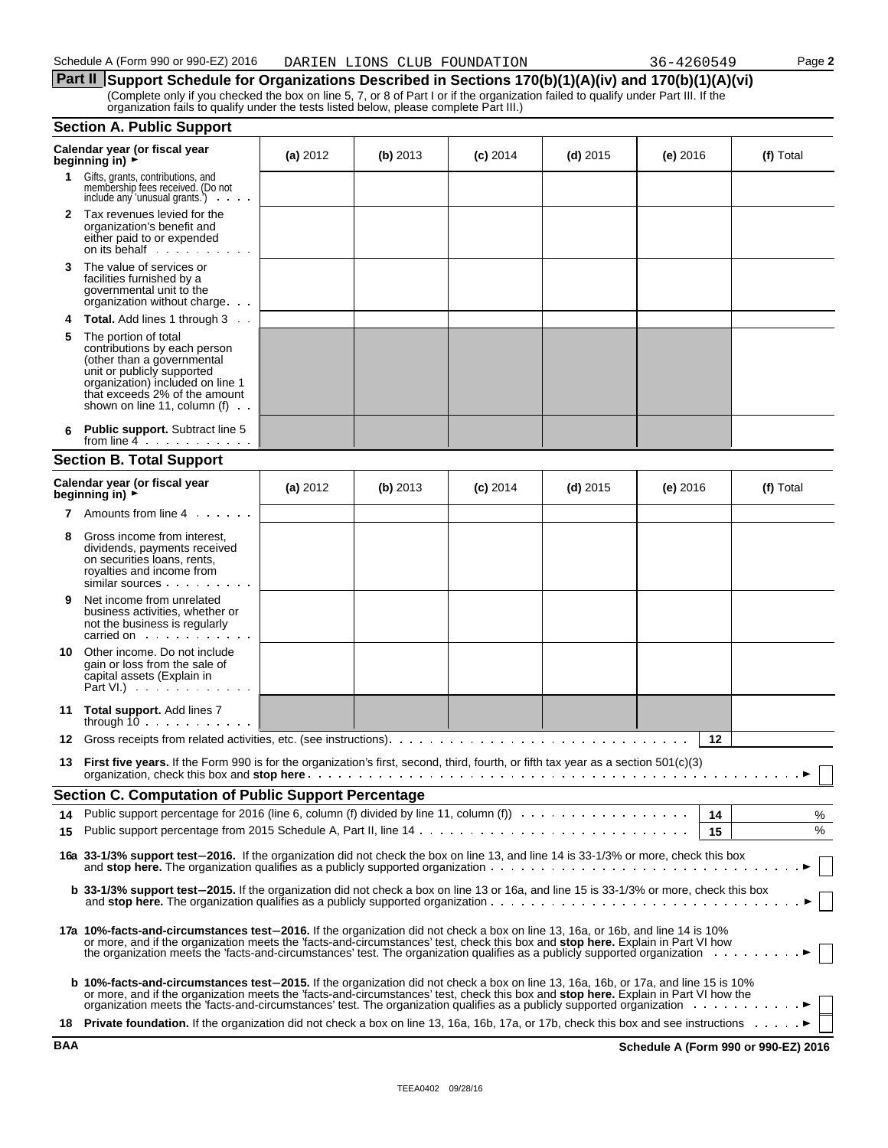|                                  | Part II Support Schedule for Organizations Described in Sections 170(b)(1)(A)(iv) and 170(b)(1)(A)(vi)                                                                                                                       |  |  |  |  |  |  |  |  |
|----------------------------------|------------------------------------------------------------------------------------------------------------------------------------------------------------------------------------------------------------------------------|--|--|--|--|--|--|--|--|
|                                  | (Complete only if you checked the box on line 5, 7, or 8 of Part I or if the organization failed to qualify under Part III. If the<br>organization fails to qualify under the tests listed below, please complete Part III.) |  |  |  |  |  |  |  |  |
| <b>Section A. Public Support</b> |                                                                                                                                                                                                                              |  |  |  |  |  |  |  |  |
|                                  |                                                                                                                                                                                                                              |  |  |  |  |  |  |  |  |

|    | Calendar year (or fiscal year<br>beginning in) ►                                                                                                                                                                                                                                                                                                                                | (a) 2012 | (b) 2013 | $(c)$ 2014 | $(d)$ 2015 | (e) 2016   | (f) Total |  |
|----|---------------------------------------------------------------------------------------------------------------------------------------------------------------------------------------------------------------------------------------------------------------------------------------------------------------------------------------------------------------------------------|----------|----------|------------|------------|------------|-----------|--|
|    | 1 Gifts, grants, contributions, and<br>membership fees received. (Do not<br>include any 'unusual grants.')<br><b>Contractor</b>                                                                                                                                                                                                                                                 |          |          |            |            |            |           |  |
|    | 2 Tax revenues levied for the<br>organization's benefit and<br>either paid to or expended<br>on its behalf                                                                                                                                                                                                                                                                      |          |          |            |            |            |           |  |
| 3  | The value of services or<br>facilities furnished by a<br>governmental unit to the<br>organization without charge                                                                                                                                                                                                                                                                |          |          |            |            |            |           |  |
| 4  | <b>Total.</b> Add lines 1 through 3                                                                                                                                                                                                                                                                                                                                             |          |          |            |            |            |           |  |
| 5  | The portion of total<br>contributions by each person<br>(other than a governmental<br>unit or publicly supported<br>organization) included on line 1<br>that exceeds 2% of the amount<br>shown on line 11, column $(f) \cdot \cdot$                                                                                                                                             |          |          |            |            |            |           |  |
| 6  | <b>Public support.</b> Subtract line 5<br>from line $4 \cdot \cdot \cdot \cdot \cdot \cdot$                                                                                                                                                                                                                                                                                     |          |          |            |            |            |           |  |
|    | <b>Section B. Total Support</b>                                                                                                                                                                                                                                                                                                                                                 |          |          |            |            |            |           |  |
|    | Calendar year (or fiscal year<br>beginning in) $\rightarrow$                                                                                                                                                                                                                                                                                                                    | (a) 2012 | (b) 2013 | $(c)$ 2014 | $(d)$ 2015 | $(e)$ 2016 | (f) Total |  |
| 7  | Amounts from line 4                                                                                                                                                                                                                                                                                                                                                             |          |          |            |            |            |           |  |
| 8  | Gross income from interest.<br>dividends, payments received<br>on securities loans, rents,<br>royalties and income from<br>similar sources                                                                                                                                                                                                                                      |          |          |            |            |            |           |  |
| 9  | Net income from unrelated<br>business activities, whether or<br>not the business is regularly<br>carried on example and the set of the set of the set of the set of the set of the set of the set of the set of the set of the set of the set of the set of the set of the set of the set of the set of the set of the set of t                                                 |          |          |            |            |            |           |  |
| 10 | Other income. Do not include<br>gain or loss from the sale of<br>capital assets (Explain in<br>Part VI.) $\cdots$                                                                                                                                                                                                                                                               |          |          |            |            |            |           |  |
| 11 | <b>Total support.</b> Add lines 7<br>through $10 \ldots \ldots \ldots$                                                                                                                                                                                                                                                                                                          |          |          |            |            |            |           |  |
| 12 |                                                                                                                                                                                                                                                                                                                                                                                 |          |          |            |            | 12         |           |  |
| 13 | First five years. If the Form 990 is for the organization's first, second, third, fourth, or fifth tax year as a section 501(c)(3)                                                                                                                                                                                                                                              |          |          |            |            |            |           |  |
|    | <b>Section C. Computation of Public Support Percentage</b>                                                                                                                                                                                                                                                                                                                      |          |          |            |            |            |           |  |
| 14 | Public support percentage for 2016 (line 6, column (f) divided by line 11, column (f) $\ldots \ldots \ldots \ldots \ldots$                                                                                                                                                                                                                                                      |          |          |            |            | 14         | %<br>%    |  |
| 15 |                                                                                                                                                                                                                                                                                                                                                                                 |          |          |            |            | 15         |           |  |
|    | 16a 33-1/3% support test-2016. If the organization did not check the box on line 13, and line 14 is 33-1/3% or more, check this box                                                                                                                                                                                                                                             |          |          |            |            |            |           |  |
|    | <b>b 33-1/3% support test-2015.</b> If the organization did not check a box on line 13 or 16a, and line 15 is 33-1/3% or more, check this box<br>and stop here. The organization qualifies as a publicly supported organization $\cdots$ , $\cdots$ , $\cdots$ , $\cdots$ , $\cdots$ , $\cdots$ , $\cdots$ , $\cdots$                                                           |          |          |            |            |            |           |  |
|    | 17a 10%-facts-and-circumstances test-2016. If the organization did not check a box on line 13, 16a, or 16b, and line 14 is 10%<br>or more, and if the organization meets the 'facts-and-circumstances' test, check this box and <b>stop here.</b> Explain in Part VI how the organization meets the 'facts-and-circumstances' test. The organization qualifies as a p           |          |          |            |            |            |           |  |
|    | b 10%-facts-and-circumstances test-2015. If the organization did not check a box on line 13, 16a, 16b, or 17a, and line 15 is 10%<br>or more, and if the organization meets the "facts-and-circumstances" test, check this box and <b>stop here</b> . Explain in Part VI how the organization meets the "facts-and-circumstances" test, check this box and <b>stop here</b> . E |          |          |            |            |            |           |  |
|    | 18 Private foundation. If the organization did not check a box on line 13, 16a, 16b, 17a, or 17b, check this box and see instructions                                                                                                                                                                                                                                           |          |          |            |            |            |           |  |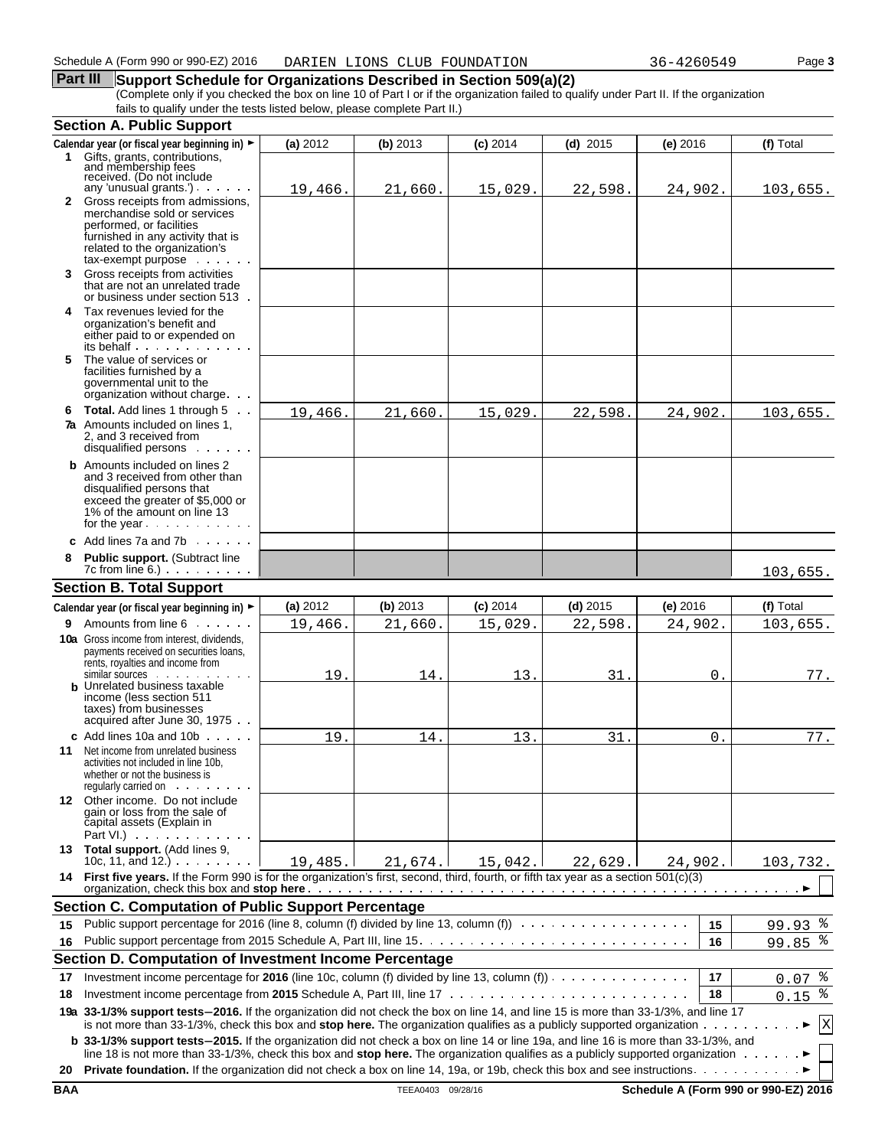### **Part III** Support Schedule for Organizations Described in Section 509(a)(2) (Complete only if you checked the box on line 10 of Part I or if the organization failed to qualify under Part II. If the organization fails to qualify under the tests listed below, please complete Part II.)

|     | <b>Section A. Public Support</b>                                                                                                                                                                                                                                                                                                                                                                                             |          |                   |            |            |                |                                      |
|-----|------------------------------------------------------------------------------------------------------------------------------------------------------------------------------------------------------------------------------------------------------------------------------------------------------------------------------------------------------------------------------------------------------------------------------|----------|-------------------|------------|------------|----------------|--------------------------------------|
|     | Calendar year (or fiscal year beginning in) ►                                                                                                                                                                                                                                                                                                                                                                                | (a) 2012 | (b) 2013          | $(c)$ 2014 | $(d)$ 2015 | $(e)$ 2016     | (f) Total                            |
| 1.  | Gifts, grants, contributions.<br>and membership fees<br>received. (Do not include<br>any 'unusual grants'). $\cdots$                                                                                                                                                                                                                                                                                                         | 19,466.  | 21,660            | 15,029.    | 22,598.    | 24,902.        | 103,655.                             |
|     | 2 Gross receipts from admissions,<br>merchandise sold or services<br>performed, or facilities<br>furnished in any activity that is<br>related to the organization's<br>$tax$ -exempt purpose $\ldots$                                                                                                                                                                                                                        |          |                   |            |            |                |                                      |
|     | 3 Gross receipts from activities<br>that are not an unrelated trade<br>or business under section 513.                                                                                                                                                                                                                                                                                                                        |          |                   |            |            |                |                                      |
|     | 4 Tax revenues levied for the<br>organization's benefit and<br>either paid to or expended on<br>its behalf                                                                                                                                                                                                                                                                                                                   |          |                   |            |            |                |                                      |
| 5   | The value of services or<br>facilities furnished by a<br>governmental unit to the<br>organization without charge.                                                                                                                                                                                                                                                                                                            |          |                   |            |            |                |                                      |
|     | 6 Total. Add lines 1 through 5<br><b>7a</b> Amounts included on lines 1,<br>2, and 3 received from<br>disqualified persons .                                                                                                                                                                                                                                                                                                 | 19,466   | 21,660            | 15,029.    | 22,598.    | 24,902.        | 103,655.                             |
|     | <b>b</b> Amounts included on lines 2<br>and 3 received from other than<br>disqualified persons that<br>exceed the greater of \$5,000 or<br>1% of the amount on line 13<br>for the year                                                                                                                                                                                                                                       |          |                   |            |            |                |                                      |
|     | c Add lines $7a$ and $7b$                                                                                                                                                                                                                                                                                                                                                                                                    |          |                   |            |            |                |                                      |
| 8   | Public support. (Subtract line<br>$7c$ from line 6.) $\ldots$                                                                                                                                                                                                                                                                                                                                                                |          |                   |            |            |                | 103,655.                             |
|     | <b>Section B. Total Support</b>                                                                                                                                                                                                                                                                                                                                                                                              |          |                   |            |            |                |                                      |
|     | Calendar year (or fiscal year beginning in) ►                                                                                                                                                                                                                                                                                                                                                                                | (a) 2012 | (b) 2013          | $(c)$ 2014 | $(d)$ 2015 | $(e)$ 2016     | (f) Total                            |
| 9   | Amounts from line 6                                                                                                                                                                                                                                                                                                                                                                                                          | 19,466.  | 21,660.           | 15,029.    | 22,598.    | 24,902.        | 103,655.                             |
|     | <b>10a</b> Gross income from interest, dividends,<br>payments received on securities loans,<br>rents, royalties and income from<br>similar sources<br><b>b</b> Unrelated business taxable                                                                                                                                                                                                                                    | 19       | 14                | 13.        | 31         | 0.             | 77.                                  |
|     | income (less section 511<br>taxes) from businesses<br>acquired after June 30, 1975                                                                                                                                                                                                                                                                                                                                           |          |                   |            |            |                |                                      |
| 11  | c Add lines 10a and 10b $\cdots$<br>Net income from unrelated business<br>activities not included in line 10b.<br>whether or not the business is<br>regularly carried on                                                                                                                                                                                                                                                     | 19       | 14                | 13         | 31         | 0 <sub>1</sub> | 77.                                  |
|     | 12 Other income. Do not include<br>gain or loss from the sale of<br>capital assets (Explain in<br>Part VI.) $\cdots$                                                                                                                                                                                                                                                                                                         |          |                   |            |            |                |                                      |
|     | 13 Total support. (Add lines 9,<br>10c, 11, and 12.) $\cdots$                                                                                                                                                                                                                                                                                                                                                                | 19,485.  | 21,674.           | 15,042.    | 22,629.    | 24,902.        | 103,732.                             |
|     | 14 First five years. If the Form 990 is for the organization's first, second, third, fourth, or fifth tax year as a section 501(c)(3)                                                                                                                                                                                                                                                                                        |          |                   |            |            |                |                                      |
|     | <b>Section C. Computation of Public Support Percentage</b>                                                                                                                                                                                                                                                                                                                                                                   |          |                   |            |            |                |                                      |
| 15  |                                                                                                                                                                                                                                                                                                                                                                                                                              |          |                   |            |            | 15             | 99.93<br>ಿ                           |
| 16  |                                                                                                                                                                                                                                                                                                                                                                                                                              |          |                   |            |            | 16             | $99.85$ $%$                          |
|     | Section D. Computation of Investment Income Percentage                                                                                                                                                                                                                                                                                                                                                                       |          |                   |            |            |                |                                      |
| 17  | Investment income percentage for 2016 (line 10c, column (f) divided by line 13, column (f) $\dots \dots \dots \dots$                                                                                                                                                                                                                                                                                                         |          |                   |            |            | 17             | ఄ<br>0.07                            |
| 18  |                                                                                                                                                                                                                                                                                                                                                                                                                              |          |                   |            |            | 18             | ್ಠಿ<br>0.15                          |
|     | 19a 33-1/3% support tests-2016. If the organization did not check the box on line 14, and line 15 is more than 33-1/3%, and line 17<br>is not more than 33-1/3%, check this box and stop here. The organization qualifies as a publicly supported organization $\ldots \ldots \ldots$<br>b 33-1/3% support tests-2015. If the organization did not check a box on line 14 or line 19a, and line 16 is more than 33-1/3%, and |          |                   |            |            |                | $\mathbf X$                          |
|     | line 18 is not more than 33-1/3%, check this box and stop here. The organization qualifies as a publicly supported organization $\dots \dots$                                                                                                                                                                                                                                                                                |          |                   |            |            |                |                                      |
| 20  |                                                                                                                                                                                                                                                                                                                                                                                                                              |          |                   |            |            |                |                                      |
| BAA |                                                                                                                                                                                                                                                                                                                                                                                                                              |          | TEEA0403 09/28/16 |            |            |                | Schedule A (Form 990 or 990-EZ) 2016 |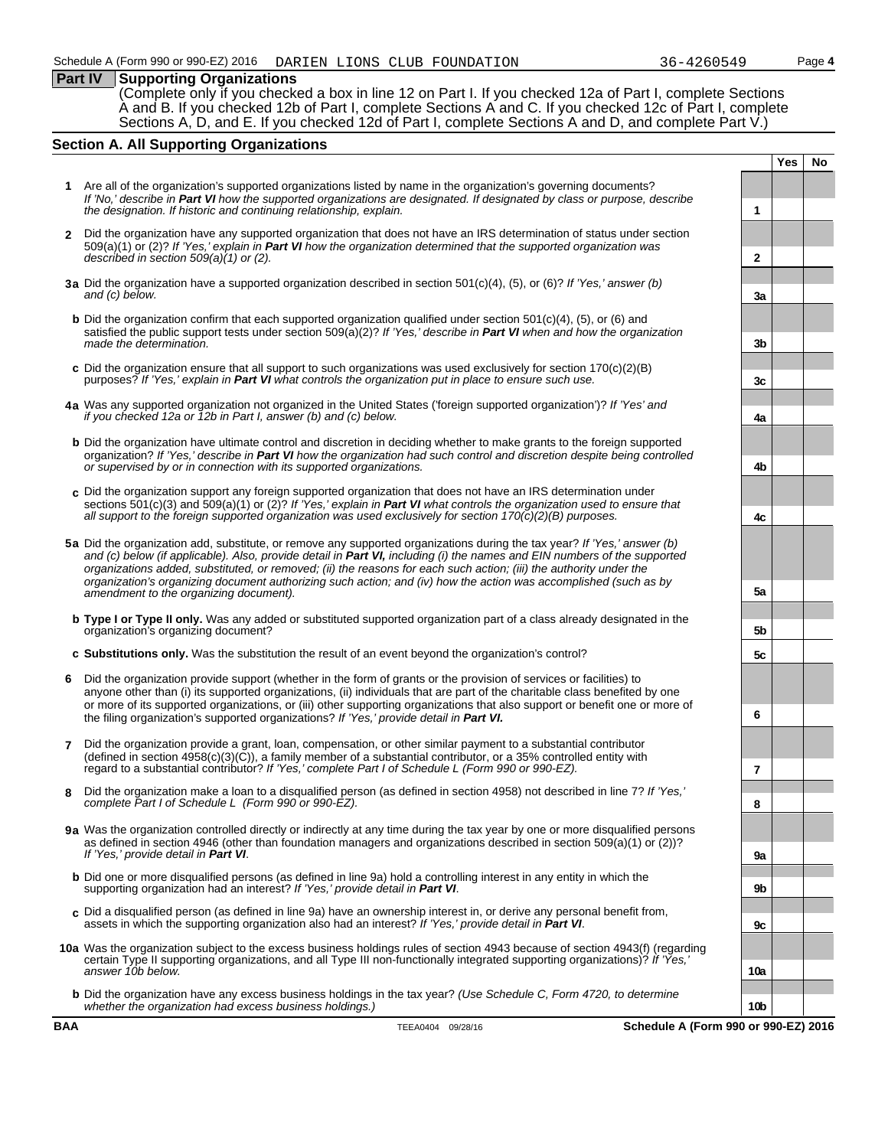### **Part IV Supporting Organizations**

(Complete only if you checked a box in line 12 on Part I. If you checked 12a of Part I, complete Sections A and B. If you checked 12b of Part I, complete Sections A and C. If you checked 12c of Part I, complete Sections A, D, and E. If you checked 12d of Part I, complete Sections A and D, and complete Part V.)

### **Section A. All Supporting Organizations**

- **1** Are all of the organization's supported organizations listed by name in the organization's governing documents? *If 'No,' describe in Part VI how the supported organizations are designated. If designated by class or purpose, describe the designation. If historic and continuing relationship, explain.* **1**
- **2** Did the organization have any supported organization that does not have an IRS determination of status under section 509(a)(1) or (2)? *If 'Yes,' explain in Part VI how the organization determined that the supported organization was described in section 509(a)(1) or (2).* **2**
- **3a** Did the organization have a supported organization described in section 501(c)(4), (5), or (6)? *If 'Yes,' answer (b) and (c) below.* **3a**
- **b** Did the organization confirm that each supported organization qualified under section 501(c)(4), (5), or (6) and satisfied the public support tests under section 509(a)(2)? *If 'Yes,' describe in Part VI when and how the organization made the determination.* **3b 3b**
- **c** Did the organization ensure that all support to such organizations was used exclusively for section 170(c)(2)(B) purposes? *If 'Yes,' explain in Part VI* what controls the organization put in place to ensure such use.
- **4a** Was any supported organization not organized in the United States ('foreign supported organization')? *If 'Yes' and if you checked 12a or 12b in Part I, answer (b) and (c) below.* **4a**
- **b** Did the organization have ultimate control and discretion in deciding whether to make grants to the foreign supported organization? *If 'Yes,' describe in Part VI how the organization had such control and discretion despite being controlled or supervised by or in connection with its supported organizations.* **4b**
- **c** Did the organization support any foreign supported organization that does not have an IRS determination under sections 501(c)(3) and 509(a)(1) or (2)? *If 'Yes,' explain in Part VI what controls the organization used to ensure that all support to the foreign supported organization was used exclusively for section 170(c)(2)(B) purposes.* **4c**
- **5a** Did the organization add, substitute, or remove any supported organizations during the tax year? *If 'Yes,' answer (b) and (c) below (if applicable). Also, provide detail in Part VI, including (i) the names and EIN numbers of the supported organizations added, substituted, or removed; (ii) the reasons for each such action; (iii) the authority under the organization's organizing document authorizing such action; and (iv) how the action was accomplished (such as by amendment to the organizing document).* **5a**
- **b Type I or Type II only.** Was any added or substituted supported organization part of a class already designated in the organization's organizing document? **5b**
- **c Substitutions only.** Was the substitution the result of an event beyond the organization's control? **5c**
- **6** Did the organization provide support (whether in the form of grants or the provision of services or facilities) to anyone other than (i) its supported organizations, (ii) individuals that are part of the charitable class benefited by one or more of its supported organizations, or (iii) other supporting organizations that also support or benefit one or more of the filing organization's supported organizations? *If 'Yes,' provide detail in Part VI.* **6**
- **7** Did the organization provide a grant, loan, compensation, or other similar payment to a substantial contributor  $($ defined in section 4958 $(c)(3)(\tilde{C}))$ , a family member of a substantial contributor, or a 35% controlled entity with regard to a substantial contributor? *If 'Yes,' complete Part I of Schedule L (Form 990 or 990-EZ).* **7**
- **8** Did the organization make a loan to a disqualified person (as defined in section 4958) not described in line 7? *If 'Yes,' complete Part I of Schedule L (Form 990 or 990-EZ).* **8**
- **9a** Was the organization controlled directly or indirectly at any time during the tax year by one or more disqualified persons as defined in section 4946 (other than foundation managers and organizations described in section 509(a)(1) or (2))? *If 'Yes,' provide detail in Part VI*. **9a**
- **b** Did one or more disqualified persons (as defined in line 9a) hold a controlling interest in any entity in which the supporting organization had an interest? *If 'Yes,' provide detail in Part VI*. **9b**
- **c** Did a disqualified person (as defined in line 9a) have an ownership interest in, or derive any personal benefit from, assets in which the supporting organization also had an interest? *If 'Yes,' provide detail in Part VI*. **9c**
- **10a** Was the organization subject to the excess business holdings rules of section 4943 because of section 4943(f) (regarding certain Type II supporting organizations, and all Type III non-functionally integrated supporting organizations)? *If 'Yes,' answer 10b below.* **10a**
	- **b** Did the organization have any excess business holdings in the tax year? *(Use Schedule C, Form 4720, to determine whether the organization had excess business holdings.)* **10b**

**Yes No**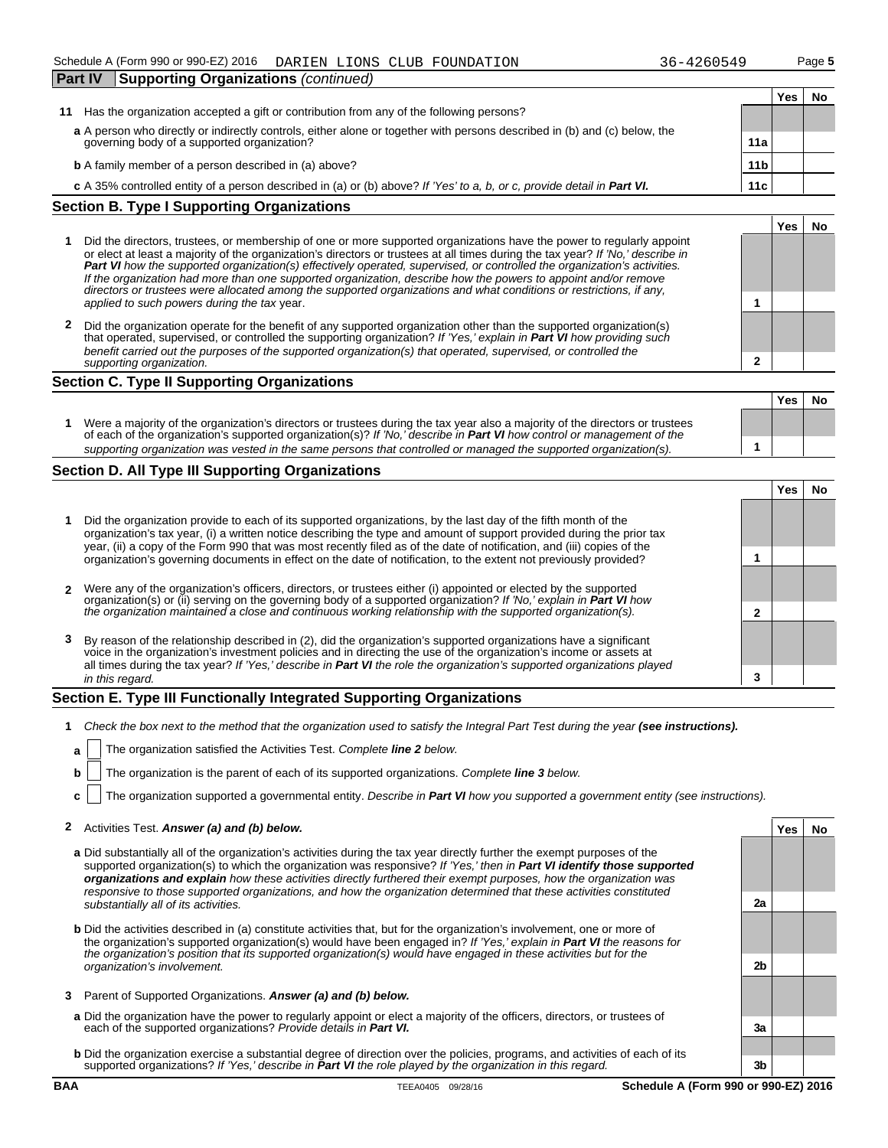| <b>Part IV</b>                                    | Supporting Organizations (continued)                                                                                      |                 |     |    |  |  |
|---------------------------------------------------|---------------------------------------------------------------------------------------------------------------------------|-----------------|-----|----|--|--|
|                                                   |                                                                                                                           |                 | Yes | No |  |  |
| 11                                                | Has the organization accepted a gift or contribution from any of the following persons?                                   |                 |     |    |  |  |
|                                                   | a A person who directly or indirectly controls, either alone or together with persons described in (b) and (c) below, the |                 |     |    |  |  |
| governing body of a supported organization?       |                                                                                                                           | 11a             |     |    |  |  |
|                                                   | <b>b</b> A family member of a person described in (a) above?                                                              | 11 <sub>b</sub> |     |    |  |  |
|                                                   | c A 35% controlled entity of a person described in (a) or (b) above? If 'Yes' to a, b, or c, provide detail in Part VI.   | 11c             |     |    |  |  |
| <b>Section B. Type I Supporting Organizations</b> |                                                                                                                           |                 |     |    |  |  |

|  |                                                                                                                                                                                                                                                                                                                                                                                                                                                                                                                                                                                                                               |  | 'es | No |  |
|--|-------------------------------------------------------------------------------------------------------------------------------------------------------------------------------------------------------------------------------------------------------------------------------------------------------------------------------------------------------------------------------------------------------------------------------------------------------------------------------------------------------------------------------------------------------------------------------------------------------------------------------|--|-----|----|--|
|  | Did the directors, trustees, or membership of one or more supported organizations have the power to regularly appoint<br>or elect at least a majority of the organization's directors or trustees at all times during the tax year? If 'No,' describe in<br>Part VI how the supported organization(s) effectively operated, supervised, or controlled the organization's activities.<br>If the organization had more than one supported organization, describe how the powers to appoint and/or remove<br>directors or trustees were allocated among the supported organizations and what conditions or restrictions, if any, |  |     |    |  |
|  | applied to such powers during the tax year.                                                                                                                                                                                                                                                                                                                                                                                                                                                                                                                                                                                   |  |     |    |  |
|  | Did the organization operate for the benefit of any supported organization other than the supported organization(s)<br>that operated supervised or controlled the supporting organization? If 'Ves' explain in <b>Part VI</b> how providing such                                                                                                                                                                                                                                                                                                                                                                              |  |     |    |  |

 $\tt supporting organization?$  *If 'Yes,' explain in <code>Part VI</code> how providing benefit carried out the purposes of the supported organization(s) that operated, supervised, or controlled the supporting organization.* **2**

### **Section C. Type II Supporting Organizations**

|                                                                                                                                                                                                                                                               |  | <b>Yes</b> | Nο |
|---------------------------------------------------------------------------------------------------------------------------------------------------------------------------------------------------------------------------------------------------------------|--|------------|----|
| Were a majority of the organization's directors or trustees during the tax year also a majority of the directors or trustees<br>of each of the organization's supported organization(s)? If 'No,' describe in <b>Part VI</b> how control or management of the |  |            |    |
| supporting organization was vested in the same persons that controlled or managed the supported organization(s).                                                                                                                                              |  |            |    |

### **Section D. All Type III Supporting Organizations**

|   |                                                                                                                                                                                                                                                                                                                                                                   |  | Yes |  |  |  |
|---|-------------------------------------------------------------------------------------------------------------------------------------------------------------------------------------------------------------------------------------------------------------------------------------------------------------------------------------------------------------------|--|-----|--|--|--|
|   | Did the organization provide to each of its supported organizations, by the last day of the fifth month of the<br>organization's tax year, (i) a written notice describing the type and amount of support provided during the prior tax<br>year, (ii) a copy of the Form 990 that was most recently filed as of the date of notification, and (iii) copies of the |  |     |  |  |  |
|   | organization's governing documents in effect on the date of notification, to the extent not previously provided?                                                                                                                                                                                                                                                  |  |     |  |  |  |
|   | 2 Were any of the organization's officers, directors, or trustees either (i) appointed or elected by the supported                                                                                                                                                                                                                                                |  |     |  |  |  |
|   | organization(s) or (ii) serving on the governing body of a supported organization? If No, explain in <b>Part VI</b> how<br>the organization maintained a close and continuous working relationship with the supported organization(s).                                                                                                                            |  |     |  |  |  |
| 3 | By reason of the relationship described in (2), did the organization's supported organizations have a significant<br>voice in the organization's investment policies and in directing the use of the organization's income or ass<br>all times during the tax year? If 'Yes,' describe in Part VI the role the organization's supported organizations played      |  |     |  |  |  |
|   | in this regard.                                                                                                                                                                                                                                                                                                                                                   |  |     |  |  |  |

### **Section E. Type III Functionally Integrated Supporting Organizations**

- **1** Check the box next to the method that the organization used to satisfy the Integral Part Test during the year (see instructions).
	- **a** The organization satisfied the Activities Test. Complete **line 2** below.
	- **b** The organization is the parent of each of its supported organizations. Complete **line 3** below.
	- **c** The organization supported a governmental entity. *Describe in Part VI how you supported a government entity (see instructions).*

### **2** Activities Test. *Answer (a) and (b) below.* **Yes No**

- **a** Did substantially all of the organization's activities during the tax year directly further the exempt purposes of the supported organization(s) to which the organization was responsive? *If 'Yes,' then in Part VI identify those supported organizations and explain how these activities directly furthered their exempt purposes, how the organization was responsive to those supported organizations, and how the organization determined that these activities constituted substantially all of its activities.* **2a**
- **b** Did the activities described in (a) constitute activities that, but for the organization's involvement, one or more of the organization's supported organization(s) would have been engaged in? *If 'Yes,' explain in Part VI the reasons for the organization's position that its supported organization(s) would have engaged in these activities but for the organization's involvement.* **2b**
- **3** Parent of Supported Organizations. *Answer (a) and (b) below.*
- **a** Did the organization have the power to regularly appoint or elect a majority of the officers, directors, or trustees of each of the supported organizations? *Provide details in Part VI.* **3a**
- **b** Did the organization exercise a substantial degree of direction over the policies, programs, and activities of each of its supported organizations? *If 'Yes,' describe in Part VI the role played by the organization in this regard.* **3b**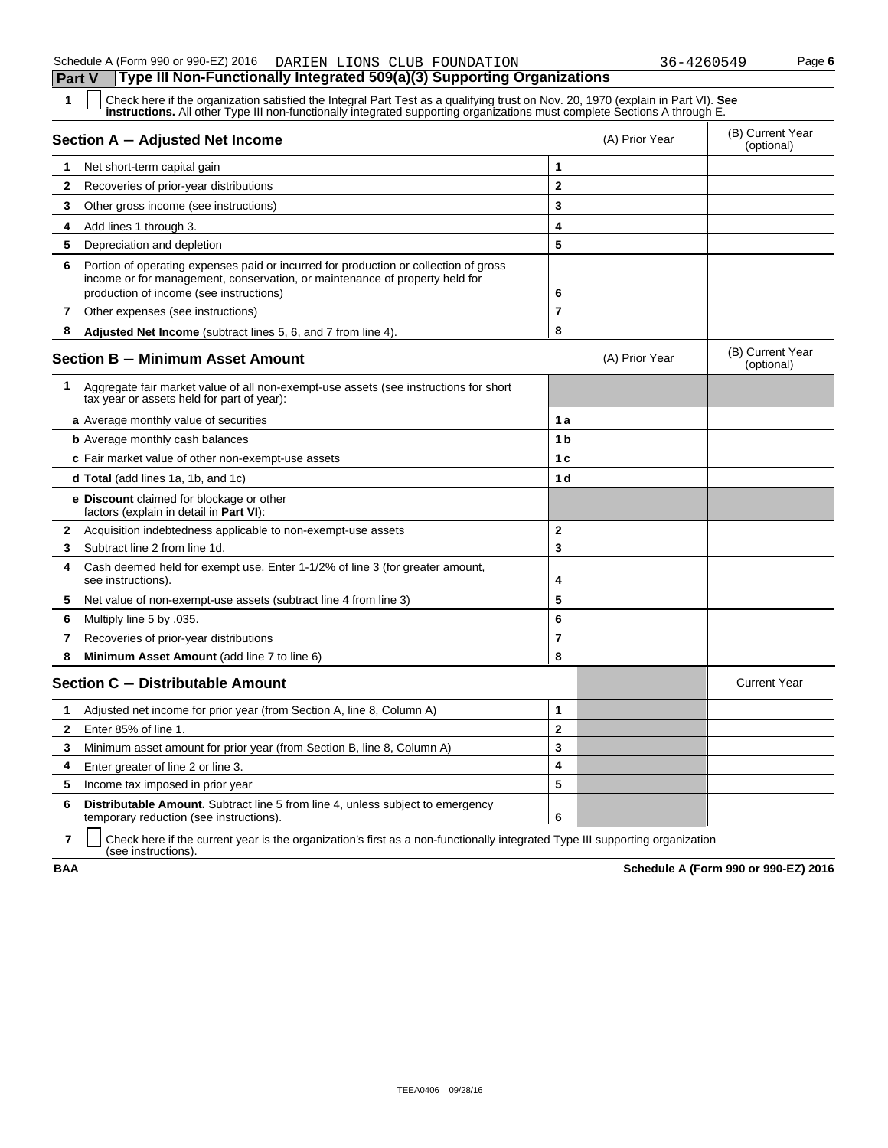| 1            | Check here if the organization satisfied the Integral Part Test as a qualifying trust on Nov. 20, 1970 (explain in Part VI). See<br><b>instructions.</b> All other Type III non-functionally integrated supporting organizations must complete Sections A through E. |                |                |                                |
|--------------|----------------------------------------------------------------------------------------------------------------------------------------------------------------------------------------------------------------------------------------------------------------------|----------------|----------------|--------------------------------|
|              | Section A - Adjusted Net Income                                                                                                                                                                                                                                      |                | (A) Prior Year | (B) Current Year<br>(optional) |
| 1.           | Net short-term capital gain                                                                                                                                                                                                                                          | 1              |                |                                |
| $\mathbf{2}$ | Recoveries of prior-year distributions                                                                                                                                                                                                                               | $\mathbf 2$    |                |                                |
| 3            | Other gross income (see instructions)                                                                                                                                                                                                                                | 3              |                |                                |
| 4            | Add lines 1 through 3.                                                                                                                                                                                                                                               | 4              |                |                                |
| 5            | Depreciation and depletion                                                                                                                                                                                                                                           | 5              |                |                                |
| 6            | Portion of operating expenses paid or incurred for production or collection of gross<br>income or for management, conservation, or maintenance of property held for<br>production of income (see instructions)                                                       | 6              |                |                                |
| 7            | Other expenses (see instructions)                                                                                                                                                                                                                                    | $\overline{7}$ |                |                                |
| 8            | Adjusted Net Income (subtract lines 5, 6, and 7 from line 4).                                                                                                                                                                                                        | 8              |                |                                |
|              | <b>Section B - Minimum Asset Amount</b>                                                                                                                                                                                                                              |                | (A) Prior Year | (B) Current Year<br>(optional) |
| 1            | Aggregate fair market value of all non-exempt-use assets (see instructions for short<br>tax year or assets held for part of year):                                                                                                                                   |                |                |                                |
|              | a Average monthly value of securities                                                                                                                                                                                                                                | 1a             |                |                                |
|              | <b>b</b> Average monthly cash balances                                                                                                                                                                                                                               | 1 <sub>b</sub> |                |                                |
|              | c Fair market value of other non-exempt-use assets                                                                                                                                                                                                                   | 1 <sub>c</sub> |                |                                |
|              | <b>d Total</b> (add lines 1a, 1b, and 1c)                                                                                                                                                                                                                            | 1 d            |                |                                |
|              | e Discount claimed for blockage or other<br>factors (explain in detail in Part VI):                                                                                                                                                                                  |                |                |                                |
| 2            | Acquisition indebtedness applicable to non-exempt-use assets                                                                                                                                                                                                         | $\mathbf{2}$   |                |                                |
| 3            | Subtract line 2 from line 1d.                                                                                                                                                                                                                                        | 3              |                |                                |
| 4            | Cash deemed held for exempt use. Enter 1-1/2% of line 3 (for greater amount,<br>see instructions).                                                                                                                                                                   | 4              |                |                                |
| 5            | Net value of non-exempt-use assets (subtract line 4 from line 3)                                                                                                                                                                                                     | 5              |                |                                |
| 6            | .035. Multiply line 5 by                                                                                                                                                                                                                                             | 6              |                |                                |
| 7            | Recoveries of prior-year distributions                                                                                                                                                                                                                               | $\overline{7}$ |                |                                |
| 8            | Minimum Asset Amount (add line 7 to line 6)                                                                                                                                                                                                                          | 8              |                |                                |
|              | Section C - Distributable Amount                                                                                                                                                                                                                                     |                |                | <b>Current Year</b>            |
| 1.           | Adjusted net income for prior year (from Section A, line 8, Column A)                                                                                                                                                                                                | 1              |                |                                |
| $\mathbf{2}$ | Enter 85% of line 1.                                                                                                                                                                                                                                                 | $\overline{2}$ |                |                                |
| 3            | Minimum asset amount for prior year (from Section B, line 8, Column A)                                                                                                                                                                                               | 3              |                |                                |
| 4            | Enter greater of line 2 or line 3.                                                                                                                                                                                                                                   | 4              |                |                                |
| 5            | Income tax imposed in prior year                                                                                                                                                                                                                                     | 5              |                |                                |
| 6            | <b>Distributable Amount.</b> Subtract line 5 from line 4, unless subject to emergency<br>temporary reduction (see instructions).                                                                                                                                     | 6              |                |                                |

**7** | Check here if the current year is the organization's first as a non-functionally integrated Type III supporting organization (see instructions).

**BAA Schedule A (Form 990 or 990-EZ) 2016**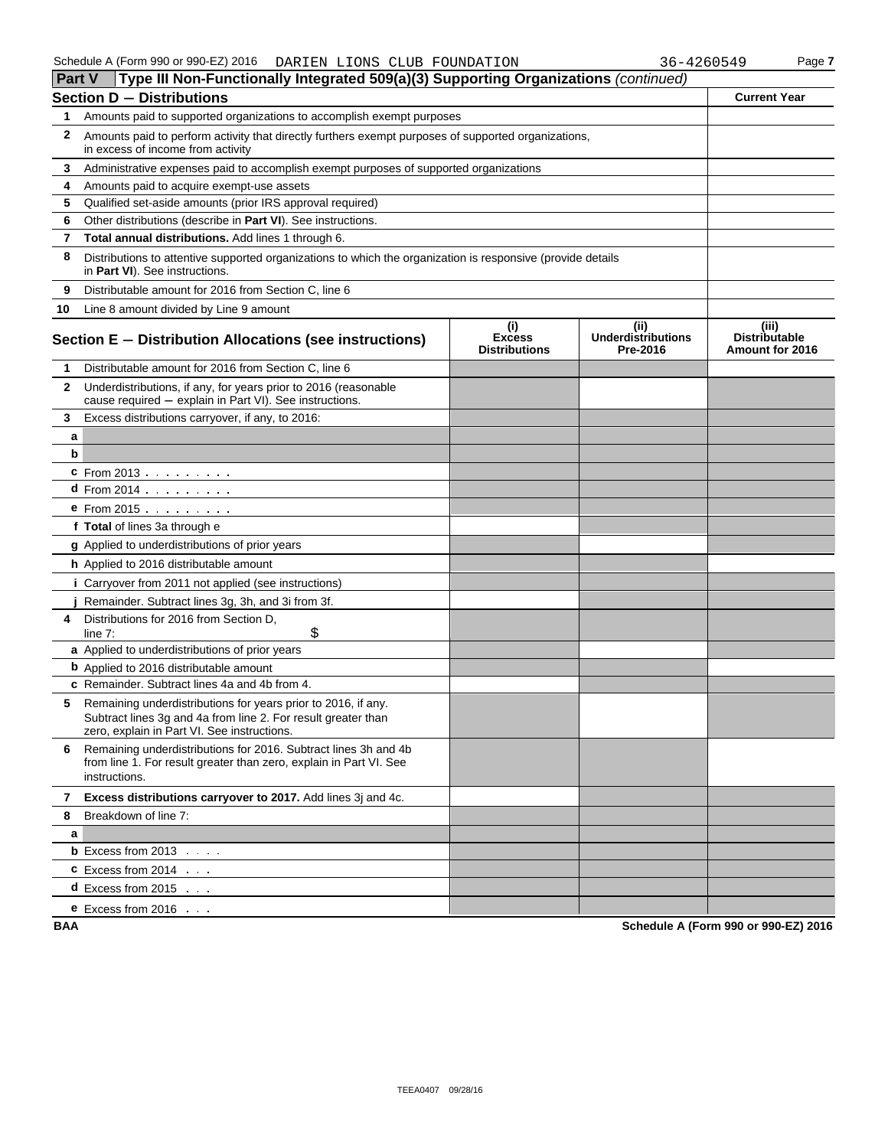| <b>Part V</b> | Type III Non-Functionally Integrated 509(a)(3) Supporting Organizations (continued)                                                                                           |                                              |                                               |                                                  |  |  |  |
|---------------|-------------------------------------------------------------------------------------------------------------------------------------------------------------------------------|----------------------------------------------|-----------------------------------------------|--------------------------------------------------|--|--|--|
|               | Section D - Distributions                                                                                                                                                     |                                              |                                               | <b>Current Year</b>                              |  |  |  |
| 1             | Amounts paid to supported organizations to accomplish exempt purposes                                                                                                         |                                              |                                               |                                                  |  |  |  |
| 2             | Amounts paid to perform activity that directly furthers exempt purposes of supported organizations,<br>in excess of income from activity                                      |                                              |                                               |                                                  |  |  |  |
| 3             | Administrative expenses paid to accomplish exempt purposes of supported organizations                                                                                         |                                              |                                               |                                                  |  |  |  |
| 4             | Amounts paid to acquire exempt-use assets                                                                                                                                     |                                              |                                               |                                                  |  |  |  |
| 5             | Qualified set-aside amounts (prior IRS approval required)                                                                                                                     |                                              |                                               |                                                  |  |  |  |
| 6             | Other distributions (describe in Part VI). See instructions.                                                                                                                  |                                              |                                               |                                                  |  |  |  |
| 7             | Total annual distributions. Add lines 1 through 6.                                                                                                                            |                                              |                                               |                                                  |  |  |  |
| 8             | Distributions to attentive supported organizations to which the organization is responsive (provide details<br>in Part VI). See instructions.                                 |                                              |                                               |                                                  |  |  |  |
| 9             | Distributable amount for 2016 from Section C, line 6                                                                                                                          |                                              |                                               |                                                  |  |  |  |
| 10            | Line 8 amount divided by Line 9 amount                                                                                                                                        |                                              |                                               |                                                  |  |  |  |
|               | Section E - Distribution Allocations (see instructions)                                                                                                                       | (i)<br><b>Excess</b><br><b>Distributions</b> | (ii)<br><b>Underdistributions</b><br>Pre-2016 | (iii)<br><b>Distributable</b><br>Amount for 2016 |  |  |  |
| 1             | Distributable amount for 2016 from Section C, line 6                                                                                                                          |                                              |                                               |                                                  |  |  |  |
| $\mathbf{2}$  | Underdistributions, if any, for years prior to 2016 (reasonable<br>cause required - explain in Part VI). See instructions.                                                    |                                              |                                               |                                                  |  |  |  |
| 3             | Excess distributions carryover, if any, to 2016:                                                                                                                              |                                              |                                               |                                                  |  |  |  |
| a             |                                                                                                                                                                               |                                              |                                               |                                                  |  |  |  |
| b             |                                                                                                                                                                               |                                              |                                               |                                                  |  |  |  |
|               | <b>c</b> From 2013                                                                                                                                                            |                                              |                                               |                                                  |  |  |  |
|               | <b>d</b> From 2014 $\ldots$ $\ldots$                                                                                                                                          |                                              |                                               |                                                  |  |  |  |
|               | $e$ From 2015 $\ldots$ $\ldots$ $\ldots$                                                                                                                                      |                                              |                                               |                                                  |  |  |  |
|               | f Total of lines 3a through e                                                                                                                                                 |                                              |                                               |                                                  |  |  |  |
|               | g Applied to underdistributions of prior years                                                                                                                                |                                              |                                               |                                                  |  |  |  |
|               | h Applied to 2016 distributable amount                                                                                                                                        |                                              |                                               |                                                  |  |  |  |
|               | <i>i</i> Carryover from 2011 not applied (see instructions)                                                                                                                   |                                              |                                               |                                                  |  |  |  |
|               | Remainder. Subtract lines 3g, 3h, and 3i from 3f.                                                                                                                             |                                              |                                               |                                                  |  |  |  |
| 4             | Distributions for 2016 from Section D.<br>\$<br>line $7$ :                                                                                                                    |                                              |                                               |                                                  |  |  |  |
|               | a Applied to underdistributions of prior years                                                                                                                                |                                              |                                               |                                                  |  |  |  |
|               | <b>b</b> Applied to 2016 distributable amount                                                                                                                                 |                                              |                                               |                                                  |  |  |  |
|               | c Remainder. Subtract lines 4a and 4b from 4.                                                                                                                                 |                                              |                                               |                                                  |  |  |  |
| 5             | Remaining underdistributions for years prior to 2016, if any.<br>Subtract lines 3g and 4a from line 2. For result greater than<br>zero, explain in Part VI. See instructions. |                                              |                                               |                                                  |  |  |  |
| 6             | Remaining underdistributions for 2016. Subtract lines 3h and 4b<br>from line 1. For result greater than zero, explain in Part VI. See<br>instructions.                        |                                              |                                               |                                                  |  |  |  |
| 7             | Excess distributions carryover to 2017. Add lines 3j and 4c.                                                                                                                  |                                              |                                               |                                                  |  |  |  |
| 8             | Breakdown of line 7:                                                                                                                                                          |                                              |                                               |                                                  |  |  |  |
| a             |                                                                                                                                                                               |                                              |                                               |                                                  |  |  |  |
|               | <b>b</b> Excess from $2013$ $\ldots$                                                                                                                                          |                                              |                                               |                                                  |  |  |  |
|               | $C$ Excess from 2014 $\ldots$                                                                                                                                                 |                                              |                                               |                                                  |  |  |  |
|               | <b>d</b> Excess from 2015 $\ldots$                                                                                                                                            |                                              |                                               |                                                  |  |  |  |
|               | <b>e</b> Excess from $2016$                                                                                                                                                   |                                              |                                               |                                                  |  |  |  |

**BAA Schedule A (Form 990 or 990-EZ) 2016**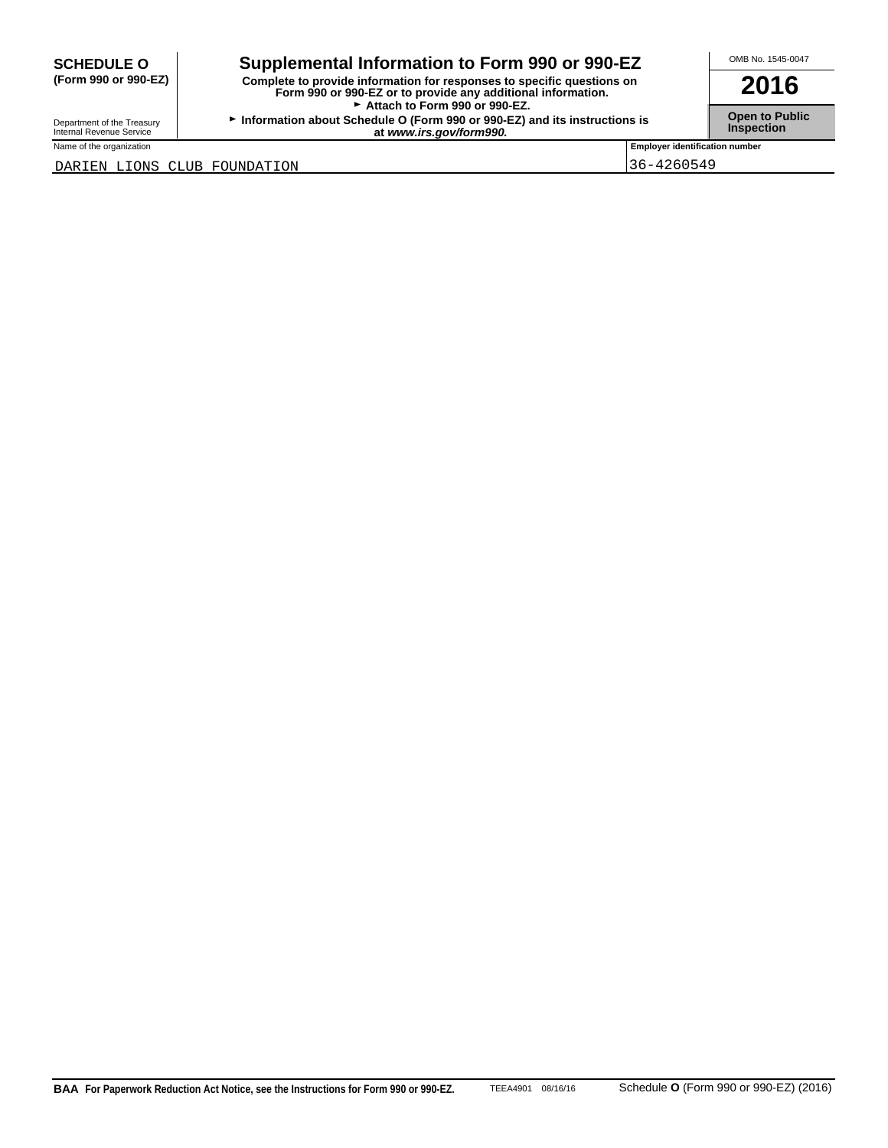## SCHEDULE O **combination to Form 990 or 990-EZ COMB No. 1545-0047**

**(Form 990 or 990-EZ) Complete to provide information for responses to specific questions on Form 990 or 990-EZ or to provide any additional information. 2016** Attach to Form 990 or 990-EZ.

**Department of the Treasury <b>Information about Schedule O** (Form 990 or 990-EZ) and its instructions is **Open to Public**<br>Internal Revenue Service **Inspection at** *www.irs.gov/form990.* **at 1.6 and its instructions is** 

Name of the organization **Employer identification number Employer identification number** 

DARIEN LIONS CLUB FOUNDATION 36-4260549

**BAA For Paperwork Reduction Act Notice, see the Instructions for Form 990 or 990-EZ.** TEEA4901 08/16/16 Schedule **O** (Form 990 or 990-EZ) (2016)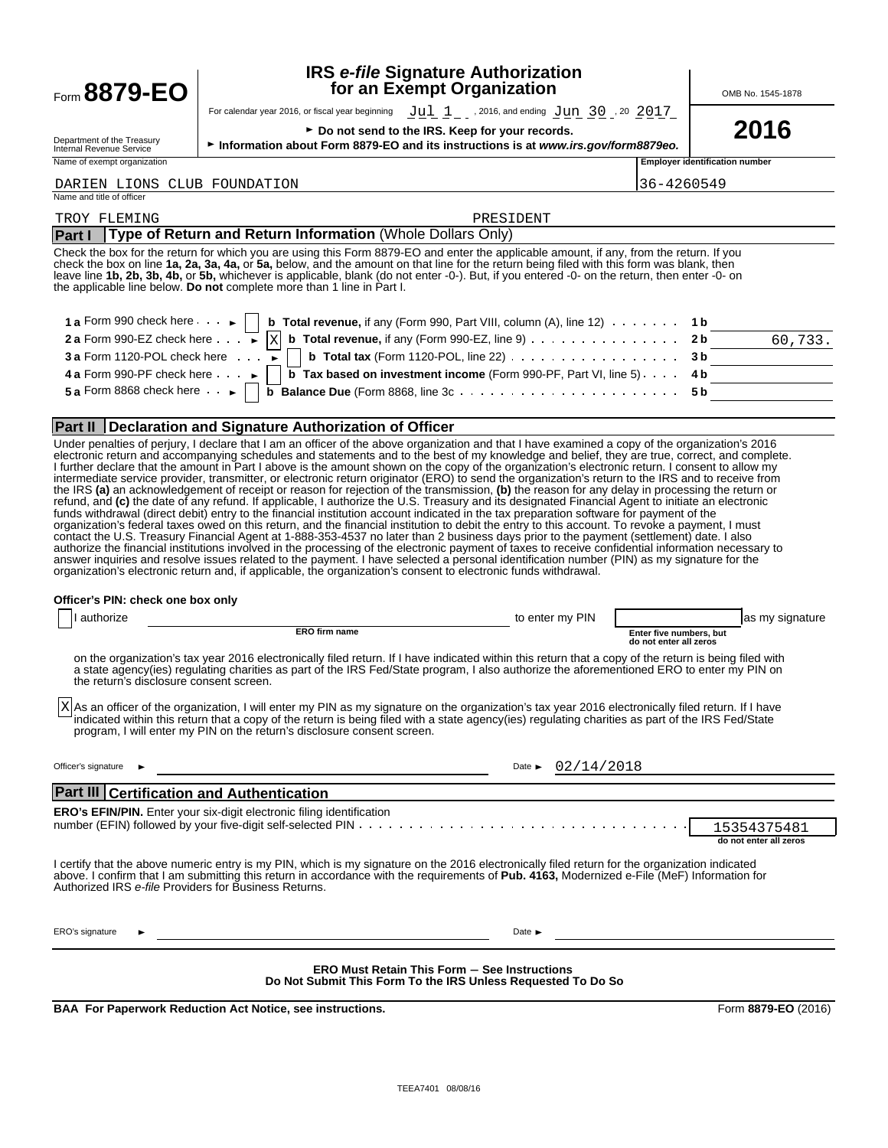## **IRS** *e-file* **Signature Authorization form 8879-EO** Superson and Exempt Organization Computer of the North Assembly Computer and Text of the No. 1545-1878

For calendar year 2016, or fiscal year beginning  $\sqrt{u}\geq u_1^2/2$  , 2016, and ending  $\sqrt{u}$   $\frac{1}{2}$   $\frac{1}{2}$   $\frac{20}{2}$   $\frac{2017}{2}$ 

Department of the Treasury<br>Internal Revenue Service

**2016** F Do not send to the IRS. Keep for your records.<br>● Information about Form 8879-EO and its instructions is at *www.irs.gov/form8879eo.* 2016

Name of exempt organization **Employer identification number Employer identification number** 

### DARIEN LIONS CLUB FOUNDATION 36-4260549

| Name and title of officer                                                                                                                                                                                                                                                                                                                                                                                                                                                                                       |         |
|-----------------------------------------------------------------------------------------------------------------------------------------------------------------------------------------------------------------------------------------------------------------------------------------------------------------------------------------------------------------------------------------------------------------------------------------------------------------------------------------------------------------|---------|
| TROY FLEMING<br>PRESIDENT                                                                                                                                                                                                                                                                                                                                                                                                                                                                                       |         |
| Part I   Type of Return and Return Information (Whole Dollars Only)                                                                                                                                                                                                                                                                                                                                                                                                                                             |         |
| Check the box for the return for which you are using this Form 8879-EO and enter the applicable amount, if any, from the return. If you<br>check the box on line 1a, 2a, 3a, 4a, or 5a, below, and the amount on that line for the return being filed with this form was blank, then<br>leave line 1b, 2b, 3b, 4b, or 5b, whichever is applicable, blank (do not enter -0-). But, if you entered -0- on the return, then enter -0- on<br>the applicable line below. Do not complete more than 1 line in Part I. |         |
| 1 a Form 990 check here $\cdot \cdot \cdot$ b Total revenue, if any (Form 990, Part VIII, column (A), line 12) $\cdot \cdot \cdot \cdot$ 1 b<br>2 a Form 990-EZ check here $\cdot \cdot \cdot$ $\cdot$ b Total revenue, if any (Form 990-EZ, line 9) $\cdot \cdot \cdot \cdot \cdot \cdot \cdot$ 2                                                                                                                                                                                                              |         |
|                                                                                                                                                                                                                                                                                                                                                                                                                                                                                                                 | 60,733. |
|                                                                                                                                                                                                                                                                                                                                                                                                                                                                                                                 |         |
| 4 a Form 990-PF check here $\ldots$ $\blacktriangleright$   $\boxed{b}$ Tax based on investment income (Form 990-PF, Part VI, line 5). $\ldots$ 4 b                                                                                                                                                                                                                                                                                                                                                             |         |
|                                                                                                                                                                                                                                                                                                                                                                                                                                                                                                                 |         |

### **Part II Declaration and Signature Authorization of Officer**

Under penalties of perjury, I declare that I am an officer of the above organization and that I have examined a copy of the organization's 2016 electronic return and accompanying schedules and statements and to the best of my knowledge and belief, they are true, correct, and complete. I further declare that the amount in Part I above is the amount shown on the copy of the organization's electronic return. I consent to allow my intermediate service provider, transmitter, or electronic return originator (ERO) to send the organization's return to the IRS and to receive from the IRS **(a)** an acknowledgement of receipt or reason for rejection of the transmission, **(b)** the reason for any delay in processing the return or refund, and **(c)** the date of any refund. If applicable, I authorize the U.S. Treasury and its designated Financial Agent to initiate an electronic funds withdrawal (direct debit) entry to the financial institution account indicated in the tax preparation software for payment of the organization's federal taxes owed on this return, and the financial institution to debit the entry to this account. To revoke a payment, I must contact the U.S. Treasury Financial Agent at 1-888-353-4537 no later than 2 business days prior to the payment (settlement) date. I also authorize the financial institutions involved in the processing of the electronic payment of taxes to receive confidential information necessary to answer inquiries and resolve issues related to the payment. I have selected a personal identification number (PIN) as my signature for the organization's electronic return and, if applicable, the organization's consent to electronic funds withdrawal.

### **Officer's PIN: check one box only**

| authorize                                                                                                                                                                                                                                                                                                                                                                          | to enter my PIN                                                                                                     | as my signature                                   |
|------------------------------------------------------------------------------------------------------------------------------------------------------------------------------------------------------------------------------------------------------------------------------------------------------------------------------------------------------------------------------------|---------------------------------------------------------------------------------------------------------------------|---------------------------------------------------|
| <b>ERO firm name</b>                                                                                                                                                                                                                                                                                                                                                               |                                                                                                                     | Enter five numbers, but<br>do not enter all zeros |
| on the organization's tax year 2016 electronically filed return. If I have indicated within this return that a copy of the return is being filed with<br>a state agency(ies) regulating charities as part of the IRS Fed/State program, I also authorize the aforementioned ERO to enter my PIN on<br>the return's disclosure consent screen.                                      |                                                                                                                     |                                                   |
| X As an officer of the organization, I will enter my PIN as my signature on the organization's tax year 2016 electronically filed return. If I have<br>indicated within this return that a copy of the return is being filed with a state agency(ies) regulating charities as part of the IRS Fed/State<br>program, I will enter my PIN on the return's disclosure consent screen. |                                                                                                                     |                                                   |
| Officer's signature                                                                                                                                                                                                                                                                                                                                                                | 02/14/2018<br>Date $\blacktriangleright$                                                                            |                                                   |
| <b>Part III Certification and Authentication</b>                                                                                                                                                                                                                                                                                                                                   |                                                                                                                     |                                                   |
| <b>ERO's EFIN/PIN.</b> Enter your six-digit electronic filing identification                                                                                                                                                                                                                                                                                                       |                                                                                                                     |                                                   |
|                                                                                                                                                                                                                                                                                                                                                                                    |                                                                                                                     | 15354375481                                       |
|                                                                                                                                                                                                                                                                                                                                                                                    |                                                                                                                     | do not enter all zeros                            |
| I certify that the above numeric entry is my PIN, which is my signature on the 2016 electronically filed return for the organization indicated<br>above. I confirm that I am submitting this return in accordance with the requirements of Pub. 4163, Modernized e-File (MeF) Information for<br>Authorized IRS e-file Providers for Business Returns.                             |                                                                                                                     |                                                   |
| ERO's signature                                                                                                                                                                                                                                                                                                                                                                    | Date $\blacktriangleright$                                                                                          |                                                   |
|                                                                                                                                                                                                                                                                                                                                                                                    | <b>ERO Must Retain This Form - See Instructions</b><br>Do Not Submit This Form To the IRS Unless Requested To Do So |                                                   |

**BAA For Paperwork Reduction Act Notice, see instructions. Form 8879-EO** (2016)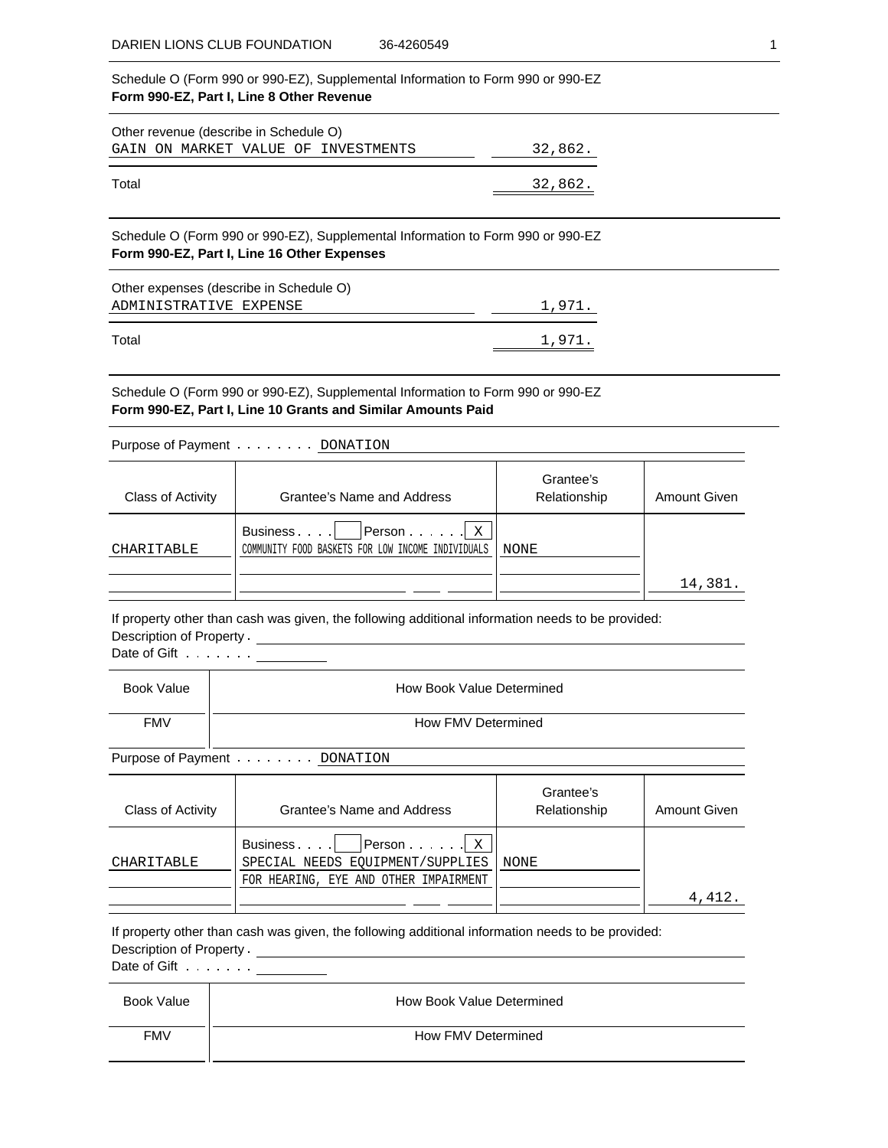Schedule O (Form 990 or 990-EZ), Supplemental Information to Form 990 or 990-EZ **Form 990-EZ, Part I, Line 8 Other Revenue** Other revenue (describe in Schedule O) GAIN ON MARKET VALUE OF INVESTMENTS 32,862. Total 32,862. Schedule O (Form 990 or 990-EZ), Supplemental Information to Form 990 or 990-EZ **Form 990-EZ, Part I, Line 16 Other Expenses** Other expenses (describe in Schedule O) ADMINISTRATIVE EXPENSE 1,971.

Total 1,971.

Schedule O (Form 990 or 990-EZ), Supplemental Information to Form 990 or 990-EZ **Form 990-EZ, Part I, Line 10 Grants and Similar Amounts Paid**

Purpose of Payment . . . . . . . . DONATION

| Class of Activity | Grantee's Name and Address                                                                                               | Grantee's<br>Relationship | <b>Amount Given</b> |
|-------------------|--------------------------------------------------------------------------------------------------------------------------|---------------------------|---------------------|
| CHARITABLE        | $\vert$ Person $\ldots$ $\vert$ $\vert$ $\vert$ $\vert$<br>Business<br>COMMUNITY FOOD BASKETS FOR LOW INCOME INDIVIDUALS | NONE                      |                     |
|                   |                                                                                                                          |                           | 14,381.             |

If property other than cash was given, the following additional information needs to be provided: Description of Property

Date of Gift . . . . . . . <u>\_\_\_\_\_\_\_\_\_</u>

| Book Value | How Book Value Determined |
|------------|---------------------------|
| <b>FMV</b> | How FMV Determined        |

Purpose of Payment . . . . . . . . DONATION

| Class of Activity | Grantee's Name and Address                                                                          | Grantee's<br>Relationship | <b>Amount Given</b> |
|-------------------|-----------------------------------------------------------------------------------------------------|---------------------------|---------------------|
| CHARITABLE        | Person   x<br>Business<br>SPECIAL NEEDS EOUIPMENT/SUPPLIES<br>FOR HEARING, EYE AND OTHER IMPAIRMENT | NONE                      |                     |
|                   |                                                                                                     |                           | 4,412.              |

If property other than cash was given, the following additional information needs to be provided: Description of Property

Date of Gift  $\dots \dots \dots$ 

| Book Value | How Book Value Determined |
|------------|---------------------------|
| <b>FMV</b> | How FMV Determined        |